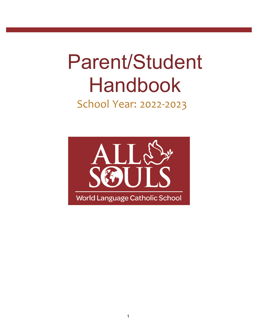# Parent/Student Handbook

# School Year: 2022-2023

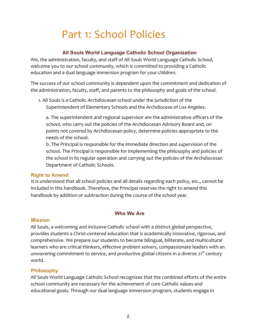# Part 1: School Policies

# **All Souls World Language Catholic School Organization**

We, the administration, faculty, and staff of All Souls World Language Catholic School, welcome you to our school community, which is committed to providing a Catholic education and a dual language immersion program for your children.

The success of our school community is dependent upon the commitment and dedication of the administration, faculty, staff, and parents to the philosophy and goals of the school.

1. All Souls is a Catholic Archdiocesan school under the jurisdiction of the Superintendent of Elementary Schools and the Archdiocese of Los Angeles.

a. The superintendent and regional supervisor are the administrative officers of the school, who carry out the policies of the Archdiocesan Advisory Board and, on points not covered by Archdiocesan policy, determine policies appropriate to the needs of the school.

b. The Principal is responsible for the immediate direction and supervision of the school. The Principal is responsible for implementing the philosophy and policies of the school in its regular operation and carrying out the policies of the Archdiocesan Department of Catholic Schools.

# **Right to Amend**

It is understood that all school policies and all details regarding each policy, etc., cannot be included in this handbook. Therefore, the Principal reserves the right to amend this handbook by addition or subtraction during the course of the school year.

# **Who We Are**

#### **Mission**

All Souls, a welcoming and inclusive Catholic school with a distinct global perspective, provides students a Christ-centered education that is academically innovative, rigorous, and comprehensive. We prepare our students to become bilingual, biliterate, and multicultural learners who are critical thinkers, effective problem solvers, compassionate leaders with an unwavering commitment to service, and productive global citizens in a diverse  $21^{st}$  century world.

# **Philosophy**

All Souls World Language Catholic School recognizes that the combined efforts of the entire school community are necessary for the achievement of core Catholic values and educational goals. Through our dual language immersion program, students engage in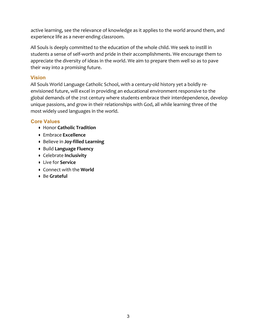active learning, see the relevance of knowledge as it applies to the world around them, and experience life as a never-ending classroom.

All Souls is deeply committed to the education of the whole child. We seek to instill in students a sense of self-worth and pride in their accomplishments. We encourage them to appreciate the diversity of ideas in the world. We aim to prepare them well so as to pave their way into a promising future.

# **Vision**

All Souls World Language Catholic School, with a century-old history yet a boldly reenvisioned future, will excel in providing an educational environment responsive to the global demands of the 21st century where students embrace their interdependence, develop unique passions, and grow in their relationships with God, all while learning three of the most widely used languages in the world.

# **Core Values**

- Honor **Catholic Tradition**
- Embrace **Excellence**
- Believe in **Joy-filled Learning**
- Build **Language Fluency**
- Celebrate **Inclusivity**
- Live for **Service**
- Connect with the **World**
- Be **Grateful**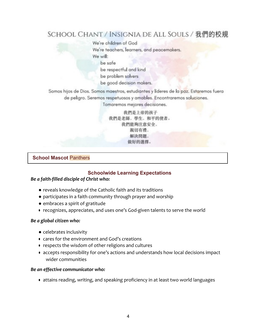# SCHOOL CHANT / INSIGNIA DE ALL SOULS / 我們的校規

We're children of God We're teachers, learners, and peacemakers. We will:

be safe

be respectful and kind

be problem solvers

be good decision makers.

Somos hijos de Dios. Somos maestros, estudiantes y líderes de la paz. Estaremos fuera de peligro. Seremos respetuosos y amables. Encontraremos soluciones.

Tomaremos mejores decisiones.

我們是上帝的孩子 我們是老師, 學生, 和平的使者。 我們能夠注意安全, 親切有禮. 解決問題. 做好的選擇。

# **School Mascot** Panthers

#### **Schoolwide Learning Expectations**

#### *Be a faith-filled disciple of Christ who:*

- **•** reveals knowledge of the Catholic faith and its traditions
- **●** participates in a faith community through prayer and worship
- **●** embraces a spirit of gratitude
- recognizes, appreciates, and uses one's God-given talents to serve the world

#### *Be a global citizen who:*

- **●** celebrates inclusivity
- $\bullet$  cares for the environment and God's creations
- respects the wisdom of other religions and cultures
- accepts responsibility for one's actions and understands how local decisions impact wider communities

#### *Be an effective communicator who:*

• attains reading, writing, and speaking proficiency in at least two world languages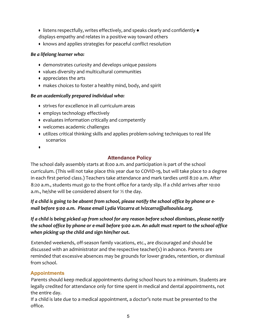- $\bullet$  listens respectfully, writes effectively, and speaks clearly and confidently  $\bullet$ displays empathy and relates in a positive way toward others
- knows and applies strategies for peaceful conflict resolution

# *Be a lifelong learner who:*

- demonstrates curiosity and develops unique passions
- values diversity and multicultural communities
- appreciates the arts
- makes choices to foster a healthy mind, body, and spirit

#### *Be an academically prepared individual who:*

- strives for excellence in all curriculum areas
- employs technology effectively
- evaluates information critically and competently
- welcomes academic challenges
- utilizes critical thinking skills and applies problem-solving techniques to real life scenarios
- ●

# **Attendance Policy**

The school daily assembly starts at 8:00 a.m. and participation is part of the school curriculum. (This will not take place this year due to COVID-19, but will take place to a degree in each first period class.) Teachers take attendance and mark tardies until 8:20 a.m. After 8:20 a.m., students must go to the front office for a tardy slip. If a child arrives after 10:00 a.m., he/she will be considered absent for  $\frac{1}{2}$  the day.

*If a child is going to be absent from school, please notify the school office by phone or email before 9:00 a.m. Please email Lydia Vizcarra at lvizcarra@allsoulsla.org.*

*If a child is being picked up from school for any reason before school dismisses, please notify* the school office by phone or e-mail before 9:00 a.m. An adult must report to the school office *when picking up the child and sign him/her out.*

Extended weekends, off-season family vacations, etc., are discouraged and should be discussed with an administrator and the respective teacher(s) in advance. Parents are reminded that excessive absences may be grounds for lower grades, retention, or dismissal from school.

# **Appointments**

Parents should keep medical appointments during school hours to a minimum. Students are legally credited for attendance only for time spent in medical and dental appointments, not the entire day.

If a child is late due to a medical appointment, a doctor's note must be presented to the office.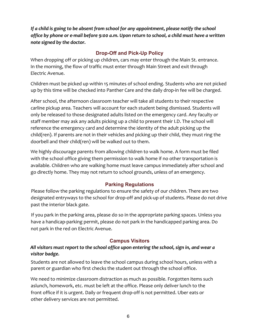*If a child is going to be absent from school for any appointment, please notify the school* office by phone or e-mail before 9:00 a.m. Upon return to school, a child must have a written *note signed by the doctor.*

# **Drop-Off and Pick-Up Policy**

When dropping off or picking up children, cars may enter through the Main St. entrance. In the morning, the flow of traffic must enter through Main Street and exit through Electric Avenue.

Children must be picked up within 15 minutes of school ending. Students who are not picked up by this time will be checked into Panther Care and the daily drop-in fee will be charged.

After school, the afternoon classroom teacher will take all students to their respective carline pickup area. Teachers will account for each student being dismissed. Students will only be released to those designated adults listed on the emergency card. Any faculty or staff member may ask any adults picking up a child to present their I.D. The school will reference the emergency card and determine the identity of the adult picking up the child(ren). If parents are not in their vehicles and picking up their child, they must ring the doorbell and their child(ren) will be walked out to them.

We highly discourage parents from allowing children to walk home. A form must be filed with the school office giving them permission to walk home if no other transportation is available. Children who are walking home must leave campus immediately after school and go directly home. They may not return to school grounds, unless of an emergency.

# **Parking Regulations**

Please follow the parking regulations to ensure the safety of our children. There are two designated entryways to the school for drop-off and pick-up of students. Please do not drive past the interior black gate.

If you park in the parking area, please do so in the appropriate parking spaces. Unless you have a handicap-parking permit, please do not park in the handicapped parking area. Do not park in the red on Electric Avenue.

# **Campus Visitors**

# All visitors must report to the school office upon entering the school, sign in, and wear a *visitor badge.*

Students are not allowed to leave the school campus during school hours, unless with a parent or guardian who first checks the student out through the school office.

We need to minimize classroom distraction as much as possible. Forgotten items such aslunch, homework, etc. must be left at the office. Please only deliver lunch to the front office if it is urgent. Daily or frequent drop-off is not permitted. Uber eats or other delivery services are not permitted.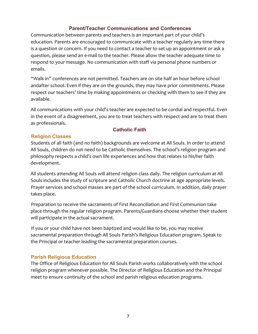#### **Parent/Teacher Communications and Conferences**

Communication between parents and teachers is an important part of your child's education. Parents are encouraged to communicate with a teacher regularly any time there is a question or concern. If you need to contact a teacher to set up an appointment or ask a question, please send an e-mail to the teacher. Please allow the teacher adequate time to respond to your message. No communication with staff via personal phone numbers or emails. 

"Walk in" conferences are not permitted. Teachers are on site half an hour before school andafter school. Even if they are on the grounds, they may have prior commitments. Please respect our teachers' time by making appointments or checking with them to see if they are available.

All communications with your child's teacher are expected to be cordial and respectful. Even in the event of a disagreement, you are to treat teachers with respect and are to treat them as professionals.

#### **Catholic Faith**

#### **Religion Classes**

Students of all faith (and no faith) backgrounds are welcome at All Souls. In order to attend All Souls, children do not need to be Catholic themselves. The school's religion program and philosophy respects a child's own life experiences and how that relates to his/her faith development.

All students attending All Souls will attend religion class daily. The religion curriculum at All Souls includes the study of scripture and Catholic Church doctrine at age appropriate levels. Prayer services and school masses are part of the school curriculum. In addition, daily prayer takes place.

Preparation to receive the sacraments of First Reconciliation and First Communion take place through the regular religion program. Parents/Guardians choose whether their student will participate in the actual sacrament.

If you or your child have not been baptized and would like to be, you may receive sacramental preparation through All Souls Parish's Religious Education program. Speak to the Principal or teacher leading the sacramental preparation courses.

#### **Parish Religious Education**

The Office of Religious Education for All Souls Parish works collaboratively with the school religion program whenever possible. The Director of Religious Education and the Principal meet to ensure continuity of the school and parish religious education programs.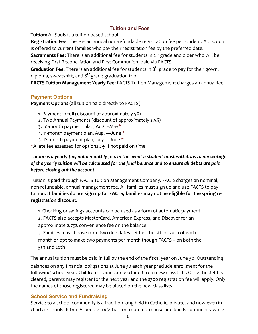# **Tuition and Fees**

**Tuition:** All Souls is a tuition-based school.

**Registration Fee:** There is an annual non-refundable registration fee per student. A discount is offered to current families who pay their registration fee by the preferred date.

**Sacraments Fee:** There is an additional fee for students in 2<sup>nd</sup> grade and older who will be receiving First Reconciliation and First Communion, paid via FACTS.

**Graduation Fee:** There is an additional fee for students in 8<sup>th</sup> grade to pay for their gown, diploma, sweatshirt, and  $8<sup>th</sup>$  grade graduation trip.

**FACTS Tuition Management Yearly Fee:** FACTS Tuition Management charges an annual fee.

# **Payment Options**

**Payment Options** (all tuition paid directly to FACTS):

- 1. Payment in full (discount of approximately  $5\%$ )
- 2. Two Annual Payments (discount of approximately 2.5%)
- 3. 10-month payment plan, Aug. –May\*
- 4. 11-month payment plan, Aug. —June \*
- 5. 12-month payment plan, July —June \*

\*A late fee assessed for options 2-5 if not paid on time.

# Tuition is a yearly fee, not a monthly fee. In the event a student must withdraw, a percentage of the yearly tuition will be calculated for the final balance and to ensure all debts are paid *before closing out the account.*

Tuition is paid through FACTS Tuition Management Company. FACTScharges an nominal, non-refundable, annual management fee. All families must sign up and use FACTS to pay tuition. If families do not sign up for FACTS, families may not be eligible for the spring re**registration discount.**

1. Checking or savings accounts can be used as a form of automatic payment

2. FACTS also accepts MasterCard, American Express, and Discover for an approximate 2.75% convenience fee on the balance

3. Families may choose from two due dates - either the 5th or 20th of each month or opt to make two payments per month though FACTS – on both the 5th and 20th

The annual tuition must be paid in full by the end of the fiscal year on June 30. Outstanding balances on any financial obligations at June 30 each year preclude enrollment for the following school year. Children's names are excluded from new class lists. Once the debt is cleared, parents may register for the next year and the \$300 registration fee will apply. Only the names of those registered may be placed on the new class lists.

# **School Service and Fundraising**

Service to a school community is a tradition long held in Catholic, private, and now even in charter schools. It brings people together for a common cause and builds community while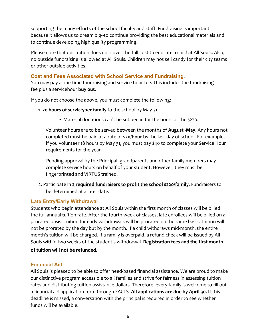supporting the many efforts of the school faculty and staff. Fundraising is important because it allows us to dream big-to continue providing the best educational materials and to continue developing high quality programming.

Please note that our tuition does not cover the full cost to educate a child at All Souls. Also, no outside fundraising is allowed at All Souls. Children may not sell candy for their city teams or other outside activities.

# **Cost and Fees Associated with School Service and Fundraising.**

You may pay a one-time fundraising and service hour fee. This includes the fundraising fee plus a servicehour **buy out**.

If you do not choose the above, you must complete the following:

- 1. 20 hours of service/per family to the school by May 31.
	- Material donations can't be subbed in for the hours or the \$220.

Volunteer hours are to be served between the months of **August -May.** Any hours not completed must be paid at a rate of **\$20/hour** by the last day of school. For example, if you volunteer 18 hours by May 31, you must pay \$40 to complete your Service Hour requirements for the year.

Pending approval by the Principal, grandparents and other family members may complete service hours on behalf of your student. However, they must be fingerprinted and VIRTUS trained.

2. Participate in 2 required fundraisers to profit the school \$220/family. Fundraisers to be determined at a later date.

# **Late Entry/Early Withdrawal**

Students who begin attendance at All Souls within the first month of classes will be billed the full annual tuition rate. After the fourth week of classes, late enrollees will be billed on a prorated basis. Tuition for early withdrawals will be prorated on the same basis. Tuition will not be prorated by the day but by the month. If a child withdraws mid-month, the entire month's tuition will be charged. If a family is overpaid, a refund check will be issued by All Souls within two weeks of the student's withdrawal. **Registration fees and the first month** 

#### **of tuition will not be refunded.**

# **Financial Aid**

All Souls is pleased to be able to offer need-based financial assistance. We are proud to make our distinctive program accessible to all families and strive for fairness in assessing tuition rates and distributing tuition assistance dollars. Therefore, every family is welcome to fill out a financial aid application form through FACTS. **All applications are due by April 30.** If this deadline is missed, a conversation with the principal is required in order to see whether funds will be available.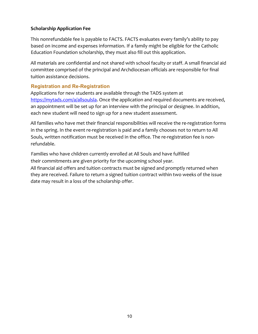#### **Scholarship Application Fee**

This nonrefundable fee is payable to FACTS. FACTS evaluates every family's ability to pay based on income and expenses information. If a family might be eligible for the Catholic Education Foundation scholarship, they must also fill out this application.

All materials are confidential and not shared with school faculty or staff. A small financial aid committee comprised of the principal and Archdiocesan officials are responsible for final tuition assistance decisions.

# **Registration and Re-Registration**

Applications for new students are available through the TADS system at https://mytads.com/a/allsoulsla. Once the application and required documents are received, an appointment will be set up for an interview with the principal or designee. In addition, each new student will need to sign up for a new student assessment.

All families who have met their financial responsibilities will receive the re-registration forms in the spring. In the event re-registration is paid and a family chooses not to return to All Souls, written notification must be received in the office. The re-registration fee is nonrefundable.

Families who have children currently enrolled at All Souls and have fulfilled their commitments are given priority for the upcoming school year. All financial aid offers and tuition contracts must be signed and promptly returned when they are received. Failure to return a signed tuition contract within two weeks of the issue date may result in a loss of the scholarship offer.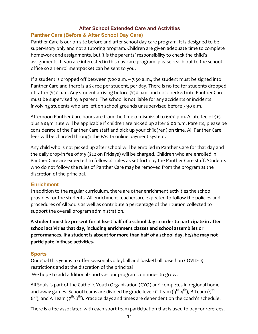# **After School Extended Care and Activities**

# **Panther Care (Before & After School Day Care)**

Panther Care is our on-site before and after school day care program. It is designed to be supervisory only and not a tutoring program. Children are given adequate time to complete homework and assignments, but it is the parents' responsibility to check the child's assignments. If you are interested in this day care program, please reach out to the school office so an enrollmentpacket can be sent to you.

If a student is dropped off between 7:00 a.m.  $-7:30$  a.m., the student must be signed into Panther Care and there is a \$3 fee per student, per day. There is no fee for students dropped off after 7:30 a.m. Any student arriving before 7:30 a.m. and not checked into Panther Care, must be supervised by a parent. The school is not liable for any accidents or incidents involving students who are left on school grounds unsupervised before 7:30 a.m.

Afternoon Panther Care hours are from the time of dismissal to 6:00 p.m. A late fee of \$15 plus a \$1/minute will be applicable if children are picked up after 6:00 p.m. Parents, please be considerate of the Panther Care staff and pick up your child(ren) on time. All Panther Care fees will be charged through the FACTS online payment system.

Any child who is not picked up after school will be enrolled in Panther Care for that day and the daily drop-in fee of  $\frac{215}{522}$  on Fridays) will be charged. Children who are enrolled in Panther Care are expected to follow all rules as set forth by the Panther Care staff. Students who do not follow the rules of Panther Care may be removed from the program at the discretion of the principal.

# **Enrichment**

In addition to the regular curriculum, there are other enrichment activities the school provides for the students. All enrichment teachersare expected to follow the policies and procedures of All Souls as well as contribute a percentage of their tuition collected to support the overall program administration.

A student must be present for at least half of a school day in order to participate in after school activities that day, including enrichment classes and school assemblies or **performances.** If a student is absent for more than half of a school day, he/she may not **participate in these activities.**

# **Sports**

Our goal this year is to offer seasonal volleyball and basketball based on COVID-19 restrictions and at the discretion of the principal

We hope to add additional sports as our program continues to grow.

All Souls is part of the Catholic Youth Organization (CYO) and competes in regional home and away games. School teams are divided by grade level: C-Team (3 $^{\text{rd}}$ -4<sup>th</sup>), B Team (5<sup>th</sup>- $6<sup>th</sup>$ ), and A Team ( $7<sup>th</sup>$ -8<sup>th</sup>). Practice days and times are dependent on the coach's schedule.

There is a fee associated with each sport team participation that is used to pay for referees,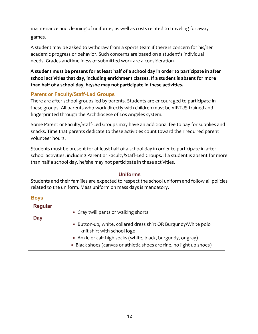maintenance and cleaning of uniforms, as well as costs related to traveling for away games.

A student may be asked to withdraw from a sports team if there is concern for his/her academic progress or behavior. Such concerns are based on a student's individual needs. Grades andtimeliness of submitted work are a consideration.

A student must be present for at least half of a school day in order to participate in after school activities that day, including enrichment classes. If a student is absent for more than half of a school day, he/she may not participate in these activities.

# **Parent or Faculty/Staff-Led Groups**

There are after school groups led by parents. Students are encouraged to participate in these groups. All parents who work directly with children must be VIRTUS-trained and fingerprinted through the Archdiocese of Los Angeles system.

Some Parent or Faculty/Staff-Led Groups may have an additional fee to pay for supplies and snacks. Time that parents dedicate to these activities count toward their required parent volunteer hours.

Students must be present for at least half of a school day in order to participate in after school activities, including Parent or Faculty/Staff-Led Groups. If a student is absent for more than half a school day, he/she may not participate in these activities.

# **Uniforms**

Students and their families are expected to respect the school uniform and follow all policies related to the uniform. Mass uniform on mass days is mandatory.

| <b>Boys</b>           |                                                                                                                                                                                                                                        |
|-----------------------|----------------------------------------------------------------------------------------------------------------------------------------------------------------------------------------------------------------------------------------|
| <b>Regular</b><br>Day | • Gray twill pants or walking shorts                                                                                                                                                                                                   |
|                       | • Button-up, white, collared dress shirt OR Burgundy/White polo<br>knit shirt with school logo<br>• Ankle or calf-high socks (white, black, burgundy, or gray)<br>• Black shoes (canvas or athletic shoes are fine, no light up shoes) |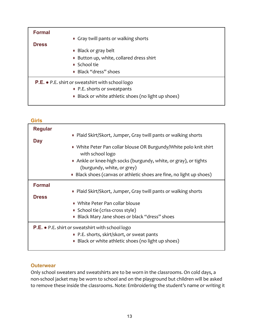| <b>Formal</b><br><b>Dress</b> | • Gray twill pants or walking shorts<br>• Black or gray belt<br>• Button up, white, collared dress shirt                                              |
|-------------------------------|-------------------------------------------------------------------------------------------------------------------------------------------------------|
|                               | • School tie                                                                                                                                          |
|                               | • Black "dress" shoes                                                                                                                                 |
|                               | <b>P.E.</b> $\bullet$ P.E. shirt or sweatshirt with school logo<br>• P.E. shorts or sweatpants<br>• Black or white athletic shoes (no light up shoes) |

| <b>Girls</b>   |                                                                                                |
|----------------|------------------------------------------------------------------------------------------------|
| <b>Regular</b> |                                                                                                |
|                | • Plaid Skirt/Skort, Jumper, Gray twill pants or walking shorts                                |
| <b>Day</b>     |                                                                                                |
|                | • White Peter Pan collar blouse OR Burgundy/White polo knit shirt<br>with school logo          |
|                | • Ankle or knee-high socks (burgundy, white, or gray), or tights<br>(burgundy, white, or grey) |
|                | • Black shoes (canvas or athletic shoes are fine, no light up shoes)                           |
| <b>Formal</b>  |                                                                                                |
|                | • Plaid Skirt/Skort, Jumper, Gray twill pants or walking shorts                                |
| <b>Dress</b>   |                                                                                                |
|                | • White Peter Pan collar blouse                                                                |
|                | • School tie (criss-cross style)                                                               |
|                | Black Mary Jane shoes or black "dress" shoes<br>0                                              |
|                | <b>P.E. •</b> P.E. shirt or sweatshirt with school logo                                        |
|                | • P.E. shorts, skirt/skort, or sweat pants                                                     |
|                | • Black or white athletic shoes (no light up shoes)                                            |

# **Outerwear**

Only school sweaters and sweatshirts are to be worn in the classrooms. On cold days, a non-school jacket may be worn to school and on the playground but children will be asked to remove these inside the classrooms. Note: Embroidering the student's name or writing it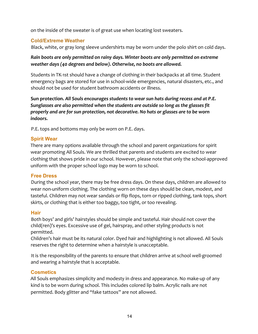on the inside of the sweater is of great use when locating lost sweaters.

# **Cold/Extreme Weather**

Black, white, or gray long sleeve undershirts may be worn under the polo shirt on cold days.

# Rain boots are only permitted on rainy days. Winter boots are only permitted on extreme *weather days (40 degrees and below). Otherwise, no boots are allowed.*

Students in TK-1st should have a change of clothing in their backpacks at all time. Student emergency bags are stored for use in school-wide emergencies, natural disasters, etc., and should not be used for student bathroom accidents or illness.

Sun protection. All Souls encourages students to wear sun hats during recess and at P.E. Sunglasses are also permitted when the students are outside so long as the glasses fit *properly and are for sun protection, not decorative. No hats or glasses are to be worn indoors.*

P.E. tops and bottoms may only be worn on P.E. days.

# **Spirit Wear**

There are many options available through the school and parent organizations for spirit wear promoting All Souls. We are thrilled that parents and students are excited to wear clothing that shows pride in our school. However, please note that only the school-approved uniform with the proper school logo may be worn to school.

# **Free Dress**

During the school year, there may be free dress days. On these days, children are allowed to wear non-uniform clothing. The clothing worn on these days should be clean, modest, and tasteful. Children may not wear sandals or flip flops, torn or ripped clothing, tank tops, short skirts, or clothing that is either too baggy, too tight, or too revealing.

# **Hair**

Both boys' and girls' hairstyles should be simple and tasteful. Hair should not cover the child(ren)'s eyes. Excessive use of gel, hairspray, and other styling products is not permitted.

Children's hair must be its natural color. Dyed hair and highlighting is not allowed. All Souls reserves the right to determine when a hairstyle is unacceptable.

It is the responsibility of the parents to ensure that children arrive at school well-groomed and wearing a hairstyle that is acceptable.

# **Cosmetics**

All Souls emphasizes simplicity and modesty in dress and appearance. No make-up of any kind is to be worn during school. This includes colored lip balm. Acrylic nails are not permitted. Body glitter and "fake tattoos" are not allowed.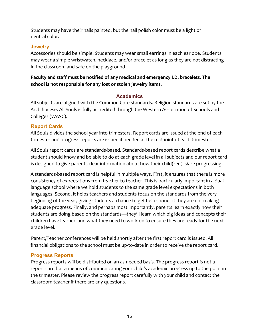Students may have their nails painted, but the nail polish color must be a light or neutral color.

# **Jewelry**

Accessories should be simple. Students may wear small earrings in each earlobe. Students may wear a simple wristwatch, necklace, and/or bracelet as long as they are not distracting in the classroom and safe on the playground.

Faculty and staff must be notified of any medical and emergency I.D. bracelets. The school is not responsible for any lost or stolen jewelry items.

# **Academics**

All subjects are aligned with the Common Core standards. Religion standards are set by the Archdiocese. All Souls is fully accredited through the Western Association of Schools and Colleges (WASC).

# **Report Cards**

All Souls divides the school year into trimesters. Report cards are issued at the end of each trimester and progress reports are issued if needed at the midpoint of each trimester.

All Souls report cards are standards-based. Standards-based report cards describe what a student should know and be able to do at each grade level in all subjects and our report card is designed to give parents clear information about how their child(ren) is/are progressing.

A standards-based report card is helpful in multiple ways. First, it ensures that there is more consistency of expectations from teacher to teacher. This is particularly important in a dual language school where we hold students to the same grade level expectations in both languages. Second, it helps teachers and students focus on the standards from the very beginning of the year, giving students a chance to get help sooner if they are not making adequate progress. Finally, and perhaps most importantly, parents learn exactly how their students are doing based on the standards—they'll learn which big ideas and concepts their children have learned and what they need to work on to ensure they are ready for the next grade level.

Parent/Teacher conferences will be held shortly after the first report card is issued. All financial obligations to the school must be up-to-date in order to receive the report card.

# **Progress Reports**

Progress reports will be distributed on an as-needed basis. The progress report is not a report card but a means of communicating your child's academic progress up to the point in the trimester. Please review the progress report carefully with your child and contact the classroom teacher if there are any questions.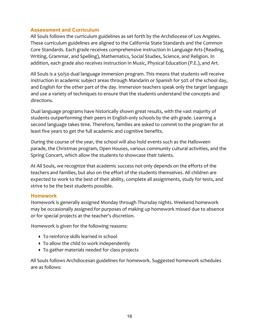#### **Assessment and Curriculum**

All Souls follows the curriculum guidelines as set forth by the Archdiocese of Los Angeles. These curriculum guidelines are aligned to the California State Standards and the Common Core Standards. Each grade receives comprehensive instruction in Language Arts (Reading, Writing, Grammar, and Spelling), Mathematics, Social Studies, Science, and Religion. In addition, each grade also receives instruction in Music, Physical Education (P.E.), and Art.

All Souls is a 50/50 dual language immersion program. This means that students will receive instruction in academic subject areas through Mandarin or Spanish for 50% of the school day, and English for the other part of the day. Immersion teachers speak only the target language and use a variety of techniques to ensure that the students understand the concepts and directions.

Dual language programs have historically shown great results, with the vast majority of students outperforming their peers in English-only schools by the 4th grade. Learning a second language takes time. Therefore, families are asked to commit to the program for at least five years to get the full academic and cognitive benefits.

During the course of the year, the school will also hold events such as the Halloween parade, the Christmas program, Open Houses, various community cultural activities, and the Spring Concert, which allow the students to showcase their talents.

At All Souls, we recognize that academic success not only depends on the efforts of the teachers and families, but also on the effort of the students themselves. All children are expected to work to the best of their ability, complete all assignments, study for tests, and strive to be the best students possible.

#### **Homework**

Homework is generally assigned Monday through Thursday nights. Weekend homework may be occasionally assigned for purposes of making up homework missed due to absence or for special projects at the teacher's discretion.

Homework is given for the following reasons:

- To reinforce skills learned in school
- To allow the child to work independently
- To gather materials needed for class projects

All Souls follows Archdiocesan guidelines for homework. Suggested homework schedules are as follows: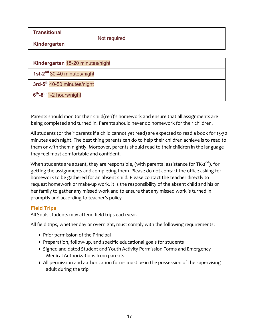**Transitional**

Not required

**Kindergarten**

| Kindergarten 15-20 minutes/night        |
|-----------------------------------------|
| 1st-2 <sup>nd</sup> 30-40 minutes/night |
| 3rd-5 <sup>th</sup> 40-50 minutes/night |
| $6th$ -8 <sup>th</sup> 1-2 hours/night  |

Parents should monitor their child(ren)'s homework and ensure that all assignments are being completed and turned in. Parents should never do homework for their children.

All students (or their parents if a child cannot yet read) are expected to read a book for 15-30 minutes each night. The best thing parents can do to help their children achieve is to read to them or with them nightly. Moreover, parents should read to their children in the language they feel most comfortable and confident.

When students are absent, they are responsible, (with parental assistance for TK-2<sup>nd</sup>), for getting the assignments and completing them. Please do not contact the office asking for homework to be gathered for an absent child. Please contact the teacher directly to request homework or make-up work. It is the responsibility of the absent child and his or her family to gather any missed work and to ensure that any missed work is turned in promptly and according to teacher's policy.

# **Field Trips**

All Souls students may attend field trips each year.

All field trips, whether day or overnight, must comply with the following requirements:

- Prior permission of the Principal
- Preparation, follow-up, and specific educational goals for students
- Signed and dated Student and Youth Activity Permission Forms and Emergency Medical Authorizations from parents
- All permission and authorization forms must be in the possession of the supervising adult during the trip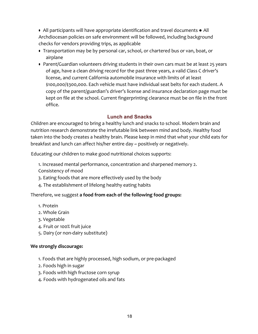$\bullet$  All participants will have appropriate identification and travel documents  $\bullet$  All Archdiocesan policies on safe environment will be followed, including background checks for vendors providing trips, as applicable

- Transportation may be by personal car, school, or chartered bus or van, boat, or airplane
- Parent/Guardian volunteers driving students in their own cars must be at least 25 years of age, have a clean driving record for the past three years, a valid Class C driver's license, and current California automobile insurance with limits of at least \$100,000/\$300,000. Each vehicle must have individual seat belts for each student. A copy of the parent/guardian's driver's license and insurance declaration page must be kept on file at the school. Current fingerprinting clearance must be on file in the front office.

# **Lunch and Snacks**

Children are encouraged to bring a healthy lunch and snacks to school. Modern brain and nutrition research demonstrate the irrefutable link between mind and body. Healthy food taken into the body creates a healthy brain. Please keep in mind that what your child eats for breakfast and lunch can affect his/her entire day ~ positively or negatively.

Educating our children to make good nutritional choices supports:

- 1. Increased mental performance, concentration and sharpened memory 2. Consistency of mood
- 3. Eating foods that are more effectively used by the body
- 4. The establishment of lifelong healthy eating habits

# Therefore, we suggest **a food from each of the following food groups:**

- 1. Protein
- 2. Whole Grain
- 3. Vegetable
- 4. Fruit or 100% fruit juice
- 5. Dairy (or non-dairy substitute)

#### **We strongly discourage:**

- 1. Foods that are highly processed, high sodium, or pre-packaged
- 2. Foods high in sugar
- 3. Foods with high fructose corn syrup
- 4. Foods with hydrogenated oils and fats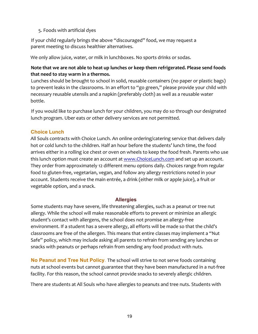#### 5. Foods with artificial dyes

If your child regularly brings the above "discouraged" food, we may request a parent meeting to discuss healthier alternatives.

We only allow juice, water, or milk in lunchboxes. No sports drinks or sodas.

# Note that we are not able to heat up lunches or keep them refrigerated. Please send foods **that need to stay warm in a thermos.**

Lunches should be brought to school in solid, reusable containers (no paper or plastic bags) to prevent leaks in the classrooms. In an effort to "go green," please provide your child with necessary reusable utensils and a napkin (preferably cloth) as well as a reusable water bottle.

If you would like to purchase lunch for your children, you may do so through our designated lunch program. Uber eats or other delivery services are not permitted.

# **Choice Lunch**

All Souls contracts with Choice Lunch. An online ordering/catering service that delivers daily hot or cold lunch to the children. Half an hour before the students' lunch time, the food arrives either in a rolling ice chest or oven on wheels to keep the food fresh. Parents who use this lunch option must create an account at www.ChoiceLunch.com and set up an account. They order from approximately 12 different menu options daily. Choices range from regular food to gluten-free, vegetarian, vegan, and follow any allergy restrictions noted in your account. Students receive the main entrée, a drink (either milk or apple juice), a fruit or vegetable option, and a snack.

# **Allergies**

Some students may have severe, life threatening allergies, such as a peanut or tree nut allergy. While the school will make reasonable efforts to prevent or minimize an allergic student's contact with allergens, the school does not promise an allergy-free environment. If a student has a severe allergy, all efforts will be made so that the child's classrooms are free of the allergen. This means that entire classes may implement a "Nut Safe" policy, which may include asking all parents to refrain from sending any lunches or snacks with peanuts or perhaps refrain from sending any food product with nuts.

**No Peanut and Tree Nut Policy.** The school will strive to not serve foods containing nuts at school events but cannot guarantee that they have been manufactured in a nut-free facility. For this reason, the school cannot provide snacks to severely allergic children.

There are students at All Souls who have allergies to peanuts and tree nuts. Students with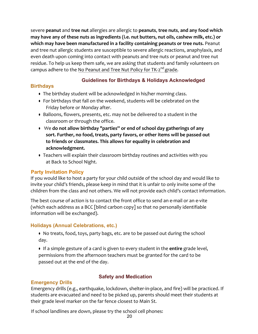severe **peanut** and *tree* nut allergies are allergic to peanuts, tree nuts, and any food which may have any of these nuts as ingredients (i.e. nut butters, nut oils, cashew milk, etc.) or which may have been manufactured in a facility containing peanuts or tree nuts. Peanut and tree nut allergic students are susceptible to severe allergic reactions, anaphylaxis, and even death upon coming into contact with peanuts and tree nuts or peanut and tree nut residue. To help us keep them safe, we are asking that students and family volunteers on campus adhere to the No Peanut and Tree Nut Policy for TK-2<sup>nd</sup> grade.

# **Birthdays**

# **Guidelines for Birthdays & Holidays Acknowledged**

- The birthday student will be acknowledged in his/her morning class.
- For birthdays that fall on the weekend, students will be celebrated on the Friday before or Monday after.
- Balloons, flowers, presents, etc. may not be delivered to a student in the classroom or through the office.
- We do not allow birthday "parties" or end of school day gatherings of any sort. Further, no food, treats, party favors, or other items will be passed out to friends or classmates. This allows for equality in celebration and **acknowledgment.**
- Teachers will explain their classroom birthday routines and activities with you at Back to School Night.

# **Party Invitation Policy**

If you would like to host a party for your child outside of the school day and would like to invite your child's friends, please keep in mind that it is unfair to only invite some of the children from the class and not others. We will not provide each child's contact information.

The best course of action is to contact the front office to send an e-mail or an e-vite (which each address as a BCC [blind carbon copy] so that no personally identifiable information will be exchanged).

#### **Holidays (Annual Celebrations, etc.)**

- No treats, food, toys, party bags, etc. are to be passed out during the school day.
- **•** If a simple gesture of a card is given to every student in the **entire** grade level, permissions from the afternoon teachers must be granted for the card to be passed out at the end of the day.

# **Emergency Drills**

# **Safety and Medication**

Emergency drills (e.g., earthquake, lockdown, shelter-in-place, and fire) will be practiced. If students are evacuated and need to be picked up, parents should meet their students at their grade level marker on the far fence closest to Main St.

If school landlines are down, please try the school cell phones: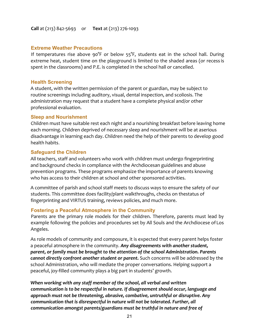#### **Call** at (213) 842-5693 or **Text** at (213) 276-1093

#### **Extreme Weather Precautions**

If temperatures rise above  $90^{\circ}$ F or below  $55^{\circ}$ F, students eat in the school hall. During extreme heat, student time on the playground is limited to the shaded areas (or recess is spent in the classrooms) and P.E. is completed in the school hall or cancelled.

#### **Health Screening**

A student, with the written permission of the parent or guardian, may be subject to routine screenings including auditory, visual, dental inspection, and scoliosis. The administration may request that a student have a complete physical and/or other professional evaluation.

#### **Sleep and Nourishment**

Children must have suitable rest each night and a nourishing breakfast before leaving home each morning. Children deprived of necessary sleep and nourishment will be at aserious disadvantage in learning each day. Children need the help of their parents to develop good health habits.

#### **Safeguard the Children**

All teachers, staff and volunteers who work with children must undergo fingerprinting and background checks in compliance with the Archdiocesan guidelines and abuse prevention programs. These programs emphasize the importance of parents knowing who has access to their children at school and other sponsored activities.

A committee of parish and school staff meets to discuss ways to ensure the safety of our students. This committee does facility/plant walkthroughs, checks on thestatus of fingerprinting and VIRTUS training, reviews policies, and much more.

#### **Fostering a Peaceful Atmosphere in the Community**

Parents are the primary role models for their children. Therefore, parents must lead by example following the policies and procedures set by All Souls and the Archdiocese of Los Angeles.

As role models of community and composure, it is expected that every parent helps foster a peaceful atmosphere in the community. *Any disagreements with another student,*  parent, or family must be brought to the attention of the school Administration. Parents *cannot directly confront another student or parent.* Such concerns will be addressed by the school Administration, who will mediate the proper conversations. Helping support a peaceful, joy-filled community plays a big part in students' growth.

When working with any staff member of the school, all verbal and written *communication is to be respectful in nature.* If disagreement should occur, language and *approach must not be threatening, abrasive, combative, untruthful or disruptive. Any communication that is disrespectful in nature will not be tolerated. Further, all communication amongst parents/guardians must be truthful in nature and free of*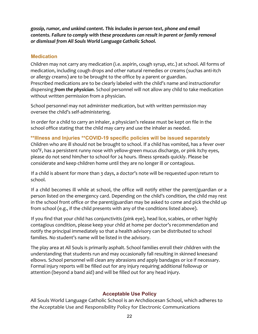gossip, rumor, and unkind content. This includes in person text, phone and email *contents.* Failure to comply with these procedures can result in parent or family removal *or dismissal from All Souls World Language Catholic School.*

#### **Medication**

Children may not carry any medication (i.e. aspirin, cough syrup, etc.) at school. All forms of medication, including cough drops and other natural remedies or creams (suchas anti-itch or allergy creams) are to be brought to the office by a parent or guardian. Prescribed medications are to be clearly labeled with the child's name and instructionsfor dispensing **from the physician**. School personnel will not allow any child to take medication without written permission from a physician.

School personnel may not administer medication, but with written permission may oversee the child's self-administering.

In order for a child to carry an inhaler, a physician's release must be kept on file in the school office stating that the child may carry and use the inhaler as needed.

#### **\*\*Illness and Injuries \*\*COVID-19 specific policies will be issued separately**

Children who are ill should not be brought to school. If a child has vomited, has a fever over 100°F, has a persistent runny nose with yellow-green mucus discharge, or pink itchy eyes, please do not send him/her to school for 24 hours. Illness spreads quickly. Please be considerate and keep children home until they are no longer ill or contagious.

If a child is absent for more than 3 days, a doctor's note will be requested upon return to school.

If a child becomes ill while at school, the office will notify either the parent/guardian or a person listed on the emergency card. Depending on the child's condition, the child may rest in the school front office or the parent/guardian may be asked to come and pick the child up from school (e.g., if the child presents with any of the conditions listed above).

If you find that your child has conjunctivitis (pink eye), head lice, scabies, or other highly contagious condition, please keep your child at home per doctor's recommendation and notify the principal immediately so that a health advisory can be distributed to school families. No student's name will be listed in the advisory.

The play area at All Souls is primarily asphalt. School families enroll their children with the understanding that students run and may occasionally fall resulting in skinned kneesand elbows. School personnel will clean any abrasions and apply bandages or ice if necessary. Formal injury reports will be filled out for any injury requiring additional followup or attention (beyond a band aid) and will be filled out for any head injury.

# **Acceptable Use Policy**

All Souls World Language Catholic School is an Archdiocesan School, which adheres to the Acceptable Use and Responsibility Policy for Electronic Communications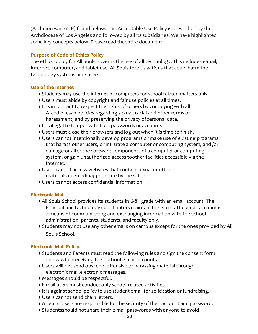(Archdiocesan AUP) found below. This Acceptable Use Policy is prescribed by the Archdiocese of Los Angeles and followed by all its subsidiaries. We have highlighted some key concepts below. Please read theentire document.

#### **Purpose of Code of Ethics Policy**

The ethics policy for All Souls governs the use of all technology. This includes e-mail, Internet, computer, and tablet use. All Souls forbids actions that could harm the technology systems or itsusers.

#### **Use of the Internet**

- Students may use the internet or computers for school-related matters only.
- Users must abide by copyright and fair use policies at all times.
- If is important to respect the rights of others by complying with all Archdiocesan policies regarding sexual, racial and other forms of harassment, and by preserving the privacy ofpersonal data.
- It is illegal to tamper with files, passwords or accounts.
- Users must close their browsers and log out when it is time to finish.
- Users cannot intentionally develop programs or make use of existing programs that harass other users, or infiltrate a computer or computing system, and /or damage or alter the software components of a computer or computing system, or gain unauthorized access toother facilities accessible via the Internet.
- Users cannot access websites that contain sexual or other materials deemedinappropriate by the school
- Users cannot access confidential information.

# **Electronic Mail**

- All Souls School provides its students in 6-8<sup>th</sup> grade with an email account. The Principal and technology coordinators maintain the e-mail. The email account is a means of communicating and exchanging information with the school administration, parents, students, and faculty only.
- Students may not use any other emails on campus except for the ones provided by All Souls School.

# **Electronic Mail Policy**

- Students and Parents must read the following rules and sign the consent form below whenreceiving their school e-mail accounts.
- Users will not send obscene, offensive or harassing material through electronic mail,electronic messages.
- Messages should be respectful.
- E-mail users must conduct only school-related activities.
- It is against school policy to use student email for solicitation or fundraising.
- Users cannot send chain letters.
- All email users are responsible for the security of their account and password.
- Studentsshould not share their e-mail passwords with anyone to avoid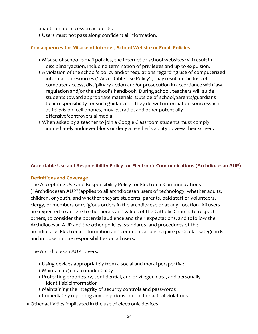unauthorized access to accounts.

● Users must not pass along confidential information.

# **Consequences for Misuse of Internet, School Website or Email Policies**

- Misuse of school e-mail policies, the Internet or school websites will result in disciplinaryaction, including termination of privileges and up to expulsion.
- A violation of the school's policy and/or regulations regarding use of computerized informationresources ("Acceptable Use Policy") may result in the loss of computer access, disciplinary action and/or prosecution in accordance with law, regulation and/or the school's handbook. During school, teachers will guide students toward appropriate materials. Outside of school,parents/guardians bear responsibility for such guidance as they do with information sourcessuch as television, cell phones, movies, radio, and other potentially offensive/controversial media.
- When asked by a teacher to join a Google Classroom students must comply immediately andnever block or deny a teacher's ability to view their screen.

#### Acceptable Use and Responsibility Policy for Electronic Communications (Archdiocesan AUP)

#### **Definitions and Coverage**

The Acceptable Use and Responsibility Policy for Electronic Communications ("Archdiocesan AUP")applies to all archdiocesan users of technology, whether adults, children, or youth, and whether theyare students, parents, paid staff or volunteers, clergy, or members of religious orders in the archdiocese or at any Location. All users are expected to adhere to the morals and values of the Catholic Church, to respect others, to consider the potential audience and their expectations, and tofollow the Archdiocesan AUP and the other policies, standards, and procedures of the archdiocese. Electronic information and communications require particular safeguards and impose unique responsibilities on all users.

The Archdiocesan AUP covers:

- Using devices appropriately from a social and moral perspective
- Maintaining data confidentiality
- Protecting proprietary, confidential, and privileged data, and personally identifiableinformation
- Maintaining the integrity of security controls and passwords
- Immediately reporting any suspicious conduct or actual violations
- Other activities implicated in the use of electronic devices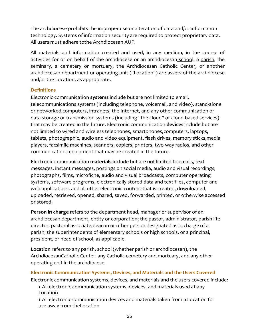The archdiocese prohibits the improper use or alteration of data and/or information technology. Systems of information security are required to protect proprietary data. All users must adhere tothe Archdiocesan AUP.

All materials and information created and used, in any medium, in the course of activities for or on behalf of the archdiocese or an archdiocesan school, a parish, the seminary, a cemetery or mortuary, the Archdiocesan Catholic Center, or another archdiocesan department or operating unit ("Location") are assets of the archdiocese and/or the Location, as appropriate.

# **Definitions**

Electronic communication **systems** include but are not limited to email, telecommunications systems (including telephone, voicemail, and video), stand-alone or networked computers, intranets, the Internet, and any other communication or data storage or transmission systems (including "the cloud" or cloud-based services) that may be created in the future. Electronic communication **devices** include but are not limited to wired and wireless telephones, smartphones, computers, laptops, tablets, photographic, audio and video equipment, flash drives, memory sticks,media players, facsimile machines, scanners, copiers, printers, two-way radios, and other communications equipment that may be created in the future.

Electronic communication **materials** include but are not limited to emails, text messages, instant messages, postings on social media, audio and visual recordings, photographs, films, microfiche, audio and visual broadcasts, computer operating systems, software programs, electronically stored data and text files, computer and web applications, and all other electronic content that is created, downloaded, uploaded, retrieved, opened, shared, saved, forwarded, printed, or otherwise accessed or stored.

**Person in charge** refers to the department head, manager or supervisor of an archdiocesan department, entity or corporation; the pastor, administrator, parish life director, pastoral associate, deacon or other person designated as in charge of a parish; the superintendents of elementary schools or high schools, or a principal, president, or head of school, as applicable.

**Location** refers to any parish, school (whether parish or archdiocesan), the ArchdiocesanCatholic Center, any Catholic cemetery and mortuary, and any other operating unit in the archdiocese.

**Electronic Communication Systems, Devices, and Materials and the Users Covered** Electronic communication systems, devices, and materials and the users covered include:

- All electronic communication systems, devices, and materials used at any Location
- All electronic communication devices and materials taken from a Location for use away from theLocation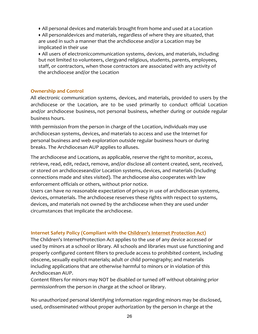● All personal devices and materials brought from home and used at a Location

• All personaldevices and materials, regardless of where they are situated, that are used in such a manner that the archdiocese and/or a Location may be implicated in their use

• All users of electroniccommunication systems, devices, and materials, including but not limited to volunteers, clergyand religious, students, parents, employees, staff, or contractors, when those contractors are associated with any activity of the archdiocese and/or the Location

#### **Ownership and Control**

All electronic communication systems, devices, and materials, provided to users by the archdiocese or the Location, are to be used primarily to conduct official Location and/or archdiocese business, not personal business, whether during or outside regular business hours.

With permission from the person in charge of the Location, individuals may use archdiocesan systems, devices, and materials to access and use the Internet for personal business and web exploration outside regular business hours or during breaks. The Archdiocesan AUP applies to alluses.

The archdiocese and Locations, as applicable, reserve the right to monitor, access, retrieve, read, edit, redact, remove, and/or disclose all content created, sent, received, or stored on archdioceseand/or Location systems, devices, and materials (including connections made and sites visited). The archdiocese also cooperates with law enforcement officials or others, without prior notice.

Users can have no reasonable expectation of privacy in use of archdiocesan systems, devices, ormaterials. The archdiocese reserves these rights with respect to systems, devices, and materials not owned by the archdiocese when they are used under circumstances that implicate the archdiocese.

# **Internet Safety Policy (Compliant with the Children's Internet Protection Act)**

The Children's InternetProtection Act applies to the use of any device accessed or used by minors at a school or library. All schools and libraries must use functioning and properly configured content filters to preclude access to prohibited content, including obscene, sexually explicit materials; adult or child pornography; and materials including applications that are otherwise harmful to minors or in violation of this Archdiocesan AUP.

Content filters for minors may NOT be disabled or turned off without obtaining prior permissionfrom the person in charge at the school or library.

No unauthorized personal identifying information regarding minors may be disclosed, used, ordisseminated without proper authorization by the person in charge at the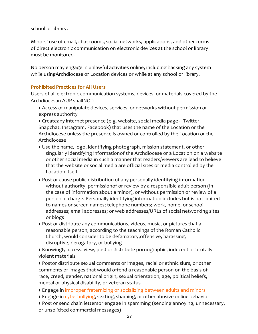school or library.

Minors' use of email, chat rooms, social networks, applications, and other forms of direct electronic communication on electronic devices at the school or library must be monitored.

No person may engage in unlawful activities online, including hacking any system while usingArchdiocese or Location devices or while at any school or library.

# **Prohibited Practices for All Users**

Users of all electronic communication systems, devices, or materials covered by the Archdiocesan AUP shallNOT:

● Access or manipulate devices, services, or networks without permission or express authority

● Createany internet presence (e.g. website, social media page -- Twitter, Snapchat, Instagram, Facebook) that uses the name of the Location or the Archdiocese unless the presence is owned or controlled by the Location or the Archdiocese

- Use the name, logo, identifying photograph, mission statement, or other singularly identifying informationof the Archdiocese or a Location on a website or other social media in such a manner that readers/viewers are lead to believe that the website or social media are official sites or media controlled by the Location itself
- Post or cause public distribution of any personally identifying information without authority, permissionof or review by a responsible adult person (in the case of information about a minor), or without permission or review of a person in charge. Personally identifying information includes but is not limited to names or screen names; telephone numbers; work, home, or school addresses; email addresses; or web addresses/URLs of social networking sites or blogs
- Post or distribute any communications, videos, music, or pictures that a reasonable person, according to the teachings of the Roman Catholic Church, would consider to be defamatory, offensive, harassing, disruptive, derogatory, or bullying

● Knowingly access, view, post or distribute pornographic, indecent or brutally violent materials

• Postor distribute sexual comments or images, racial or ethnic slurs, or other comments or images that would offend a reasonable person on the basis of race, creed, gender, national origin, sexual orientation, age, political beliefs, mental or physical disability, or veteran status

- **Engage in improper fraternizing or socializing between adults and minors**
- Engage in cyberbullying, sexting, shaming, or other abusive online behavior

• Post or send chain lettersor engage in spamming (sending annoying, unnecessary, or unsolicited commercial messages)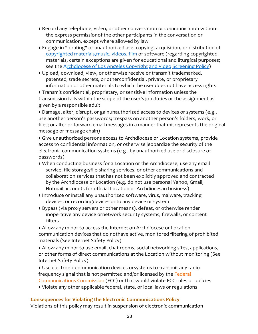- Record any telephone, video, or other conversation or communication without the express permissionof the other participants in the conversation or communication, except where allowed by law
- Engage in "pirating" or unauthorized use, copying, acquisition, or distribution of copyrighted materials, music, videos, film or software (regarding copyrighted materials, certain exceptions are given for educational and liturgical purposes; see the Archdiocese of Los Angeles Copyright and Video Screening Policy)
- Upload, download, view, or otherwise receive or transmit trademarked, patented, trade secrets, or otherconfidential, private, or proprietary information or other materials to which the user does not have access rights

• Transmit confidential, proprietary, or sensitive information unless the transmission falls within the scope of the user's job duties or the assignment as given by a responsible adult

• Damage, alter, disrupt, or gainunauthorized access to devices or systems (e.g., use another person's passwords; trespass on another person's folders, work, or files; or alter or forward email messages in a manner that misrepresents the original message or message chain)

• Give unauthorized persons access to Archdiocese or Location systems, provide access to confidential information, or otherwise jeopardize the security of the electronic communication systems (e.g., by unauthorized use or disclosure of passwords)

- When conducting business for a Location or the Archdiocese, use any email service, file storage/file-sharing services, or other communications and collaboration services that has not been explicitly approved and contracted by the Archdiocese or Location (e.g. do not use personal Yahoo, Gmail, Hotmail accounts for official Location or Archdiocesan business)
- Introduce or install any unauthorized software, virus, malware, tracking devices, or recordingdevices onto any device or system
- Bypass (via proxy servers or other means), defeat, or otherwise render inoperative any device ornetwork security systems, firewalls, or content filters

• Allow any minor to access the Internet on Archdiocese or Location communication devices that do nothave active, monitored filtering of prohibited materials (See Internet Safety Policy)

• Allow any minor to use email, chat rooms, social networking sites, applications, or other forms of direct communications at the Location without monitoring (See Internet Safety Policy)

• Use electronic communication devices orsystems to transmit any radio frequency signal that is not permitted and/or licensed by the Federal Communications Commission (FCC) or that would violate FCC rules or policies

• Violate any other applicable federal, state, or local laws or regulations

#### **Consequences for Violating the Electronic Communications Policy**

Violations of this policy may result in suspension of electronic communication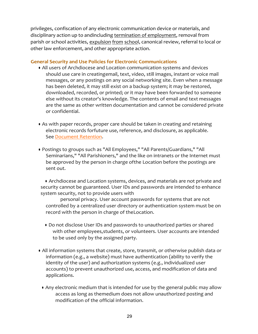privileges, confiscation of any electronic communication device or materials, and disciplinary action up to andincluding termination of employment, removal from parish or school activities, expulsion from school, canonical review, referral to local or other law enforcement, and other appropriate action.

#### **General Security and Use Policies for Electronic Communications**

- All users of Archdiocese and Location communication systems and devices should use care in creatingemail, text, video, still images, instant or voice mail messages, or any postings on any social networking site. Even when a message has been deleted, it may still exist on a backup system; it may be restored, downloaded, recorded, or printed; or it may have been forwarded to someone else without its creator's knowledge. The contents of email and text messages are the same as other written documentation and cannot be considered private or confidential.
- As with paper records, proper care should be taken in creating and retaining electronic records forfuture use, reference, and disclosure, as applicable. See Document Retention.
- Postings to groups such as "All Employees," "All Parents/Guardians," "All Seminarians," "All Parishioners," and the like on intranets or the Internet must be approved by the person in charge of the Location before the postings are sent out.

• Archdiocese and Location systems, devices, and materials are not private and security cannot be guaranteed. User IDs and passwords are intended to enhance system security, not to provide users with

personal privacy. User account passwords for systems that are not controlled by a centralized user directory or authentication system must be on record with the person in charge of theLocation.

- Do not disclose User IDs and passwords to unauthorized parties or shared with other employees, students, or volunteers. User accounts are intended to be used only by the assigned party.
- All information systems that create, store, transmit, or otherwise publish data or information (e.g., a website) must have authentication (ability to verify the identity of the user) and authorization systems (e.g., individualized user accounts) to prevent unauthorized use, access, and modification of data and applications.
	- Any electronic medium that is intended for use by the general public may allow access as long as themedium does not allow unauthorized posting and modification of the official information.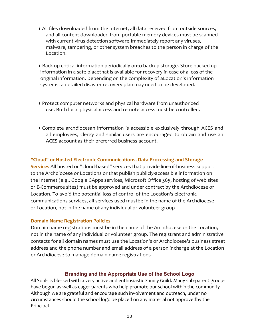- All files downloaded from the Internet, all data received from outside sources, and all content downloaded from portable memory devices must be scanned with current virus detection software.Immediately report any viruses, malware, tampering, or other system breaches to the person in charge of the Location.
- Back up critical information periodically onto backup storage. Store backed up information in a safe placethat is available for recovery in case of a loss of the original information. Depending on the complexity of aLocation's information systems, a detailed disaster recovery plan may need to be developed.
- Protect computer networks and physical hardware from unauthorized use. Both local physicalaccess and remote access must be controlled.
- Complete archdiocesan information is accessible exclusively through ACES and all employees, clergy and similar users are encouraged to obtain and use an ACES account as their preferred business account.

#### **"Cloud" or Hosted Electronic Communications, Data Processing and Storage**

**Services** All hosted or "cloud-based" services that provide line-of-business support to the Archdiocese or Locations or that publish publicly-accessible information on the Internet (e.g., Google GApps services, Microsoft Office 365, hosting of web sites or E-Commerce sites) must be approved and under contract by the Archdiocese or Location. To avoid the potential loss of control of the Location's electronic communications services, all services used mustbe in the name of the Archdiocese or Location, not in the name of any individual or volunteer group.

#### **Domain Name Registration Policies**

Domain name registrations must be in the name of the Archdiocese or the Location, not in the name of any individual or volunteer group. The registrant and administrative contacts for all domain names must use the Location's or Archdiocese's business street address and the phone number and email address of a person incharge at the Location or Archdiocese to manage domain name registrations.

# **Branding and the Appropriate Use of the School Logo**

All Souls is blessed with a very active and enthusiastic Family Guild. Many sub-parent groups have begun as well as eager parents who help promote our school within the community. Although we are grateful and encourage such involvement and outreach, under no circumstances should the school logo be placed on any material not approvedby the Principal.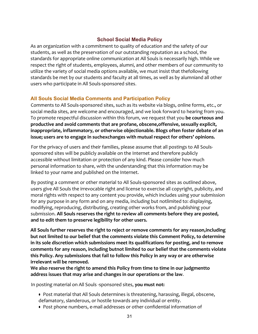# **School Social Media Policy**

As an organization with a commitment to quality of education and the safety of our students, as well as the preservation of our outstanding reputation as a school, the standards for appropriate online communication at All Souls is necessarily high. While we respect the right of students, employees, alumni, and other members of our community to utilize the variety of social media options available, we must insist that thefollowing standards be met by our students and faculty at all times, as well as by alumniand all other users who participate in All Souls-sponsored sites.

# **All Souls Social Media Comments and Participation Policy**

Comments to All Souls-sponsored sites, such as its website via blogs, online forms, etc., or social media sites, are welcome and encouraged, and we look forward to hearing from you. To promote respectful discussion within this forum, we request that you **be courteous and** productive and avoid comments that are profane, obscene, offensive, sexually explicit, inappropriate, inflammatory, or otherwise objectionable. Blogs often foster debate of an **issue;** users are to engage in suchexchanges with mutual respect for others' opinions.

For the privacy of users and their families, please assume that all postings to All Soulssponsored sites will be publicly available on the Internet and therefore publicly accessible without limitation or protection of any kind. Please consider how much personal information to share, with the understanding that this information may be linked to your name and published on the Internet.

By posting a comment or other material to All Souls-sponsored sites as outlined above, users give All Souls the irrevocable right and license to exercise all copyright, publicity, and moral rights with respect to any content you provide, which includes using your submission for any purpose in any form and on any media, including but notlimited to: displaying, modifying, reproducing, distributing, creating other works from, and publishing your submission. All Souls reserves the right to review all comments before they are posted, **and to edit them to preserve legibility for other users.**

All Souls further reserves the right to reject or remove comments for any reason, including but not limited to our belief that the comments violate this Comment Policy, to determine in its sole discretion which submissions meet its qualifications for posting, and to remove comments for any reason, including butnot limited to our belief that the comments violate **this Policy. Any submissions that fail to follow this Policy in any way or are otherwise irrelevant will be removed.**

We also reserve the right to amend this Policy from time to time in our judgmentto **address issues that may arise and changes in our operations or the law**.

In posting material on All Souls -sponsored sites, **you must not:**

- Post material that All Souls determines is threatening, harassing, illegal, obscene, defamatory, slanderous, or hostile towards any individual or entity.
- Post phone numbers, e-mail addresses or other confidential information of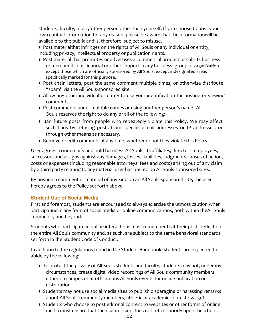students, faculty, or any other person other than yourself. If you choose to post your own contact information for any reason, please be aware that the informationwill be available to the public and is, therefore, subject to misuse.

• Post materialthat infringes on the rights of All Souls or any individual or entity, including privacy, intellectual property or publication rights.

- Post material that promotes or advertises a commercial product or solicits business or membership or financial or other support in any business, group or organization except those which are officially sponsored by All Souls, except indesignated areas specifically marked for this purpose.
- Post chain letters, post the same comment multiple times, or otherwise distribute "spam" via the All Souls-sponsored site.
- Allow any other individual or entity to use your identification for posting or viewing comments.
- Post comments under multiple names or using another person's name. All Souls reserves the right to do any or all of the following:
- Ban future posts from people who repeatedly violate this Policy. We may affect such bans by refusing posts from specific e-mail addresses or IP addresses, or through other means as necessary.
- Remove or edit comments at any time, whether or not they violate this Policy.

User agrees to indemnify and hold harmless All Souls, its affiliates, directors, employees, successors and assigns against any damages, losses, liabilities, judgments, causes of action, costs or expenses (including reasonable attorneys' fees and costs) arising out of any claim by a third party relating to any material user has posted on All Souls-sponsored sites.

By posting a comment or material of any kind on an All Souls-sponsored site, the user hereby agrees to the Policy set forth above.

# **Student Use of Social Media**

First and foremost, students are encouraged to always exercise the utmost caution when participating in any form of social media or online communications, both within theAll Souls community and beyond.

Students who participate in online interactions must remember that their posts reflect on the entire All Souls community and, as such, are subject to the same behavioral standards set forth in the Student Code of Conduct.

In addition to the regulations found in the Student Handbook, students are expected to abide by the following:

- To protect the privacy of All Souls students and faculty, students may not, underany circumstances, create digital video recordings of All Souls community members either on campus or at off-campus All Souls events for online publication or distribution.
- Students may not use social media sites to publish disparaging or harassing remarks about All Souls community members, athletic or academic contest rivals, etc.
- Students who choose to post editorial content to websites or other forms of online media must ensure that their submission does not reflect poorly upon theschool.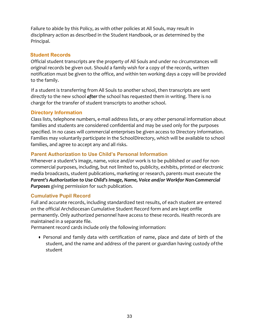Failure to abide by this Policy, as with other policies at All Souls, may result in disciplinary action as described in the Student Handbook, or as determined by the Principal.

#### **Student Records**

Official student transcripts are the property of All Souls and under no circumstances will original records be given out. Should a family wish for a copy of the records, written notification must be given to the office, and within ten working days a copy will be provided to the family.

If a student is transferring from All Souls to another school, then transcripts are sent directly to the new school **after** the school has requested them in writing. There is no charge for the transfer of student transcripts to another school.

# **Directory Information**

Class lists, telephone numbers, e-mail address lists, or any other personal information about families and students are considered confidential and may be used only for the purposes specified. In no cases will commercial enterprises be given access to Directory Information. Families may voluntarily participate in the SchoolDirectory, which will be available to school families, and agree to accept any and all risks.

# **Parent Authorization to Use Child's Personal Information**

Whenever a student's image, name, voice and/or work is to be published or used for noncommercial purposes, including, but not limited to, publicity, exhibits, printed or electronic media broadcasts, student publications, marketing or research, parents must execute the *Parent's Authorization to Use Child's Image, Name, Voice and/or Workfor Non-Commercial* **Purposes** giving permission for such publication.

# **Cumulative Pupil Record**

Full and accurate records, including standardized test results, of each student are entered on the official Archdiocesan Cumulative Student Record form and are kept onfile permanently. Only authorized personnel have access to these records. Health records are maintained in a separate file.

Permanent record cards include only the following information:

• Personal and family data with certification of name, place and date of birth of the student, and the name and address of the parent or guardian having custody of the student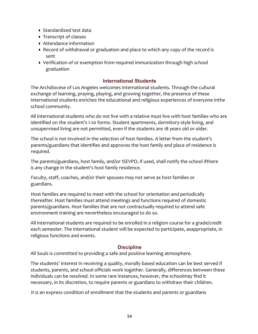- Standardized test data
- Transcript of classes
- Attendance information
- Record of withdrawal or graduation and place to which any copy of the record is sent
- Verification of or exemption from required immunization through high school graduation

#### **International Students**

The Archdiocese of Los Angeles welcomes international students. Through the cultural exchange of learning, praying, playing, and growing together, the presence of these international students enriches the educational and religious experiences of everyone inthe school community.

All international students who do not live with a relative must live with host families who are identified on the student's I-20 forms. Student apartments, dormitory-style living, and unsupervised living are not permitted, even if the students are 18 years old or older.

The school is not involved in the selection of host families. A letter from the student's parents/guardians that identifies and approves the host family and place of residence is required.

The parents/guardians, host family, and/or ISEVPO, if used, shall notify the school ifthere is any change in the student's host family residence.

Faculty, staff, coaches, and/or their spouses may not serve as host families or guardians.

Host families are required to meet with the school for orientation and periodically thereafter. Host families must attend meetings and functions required of domestic parents/guardians. Host families that are not contractually required to attend safe environment training are nevertheless encouraged to do so.

All international students are required to be enrolled in a religion course for a grade/credit each semester. The international student will be expected to participate, asappropriate, in religious functions and events.

# **Discipline**

All Souls is committed to providing a safe and positive learning atmosphere.

The students' interest in receiving a quality, morally based education can be best served if students, parents, and school officials work together. Generally, differences between these individuals can be resolved. In some rare instances, however, the schoolmay find it necessary, in its discretion, to require parents or guardians to withdraw their children.

It is an express condition of enrollment that the students and parents or guardians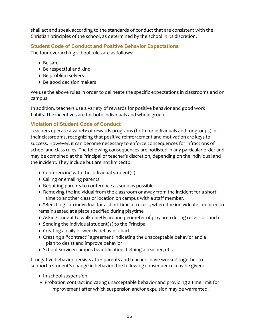shall act and speak according to the standards of conduct that are consistent with the Christian principles of the school, as determined by the school in its discretion.

# **Student Code of Conduct and Positive Behavior Expectations**

The four overarching school rules are as follows:

- Be safe
- Be respectful and kind
- Be problem solvers
- Be good decision makers

We use the above rules in order to delineate the specific expectations in classrooms and on campus.

In addition, teachers use a variety of rewards for positive behavior and good work habits. The incentives are for both individuals and whole group.

# **Violation of Student Code of Conduct**

Teachers operate a variety of rewards programs (both for individuals and for groups) in their classrooms, recognizing that positive reinforcement and motivation are keys to success. However, it can become necessary to enforce consequences for infractions of school and class rules. The following consequences are notlisted in any particular order and may be combined at the Principal or teacher's discretion, depending on the individual and the incident. They include but are not limitedto:

- Conferencing with the individual student(s)
- Calling or emailing parents
- Requiring parents to conference as soon as possible
- Removing the individual from the classroom or away from the incident for a short time to another class or location on campus with a staff member.
- "Benching" an individual for a short time at recess, where the individual is required to remain seated at a place specified during playtime
- Askingstudent to walk quietly around perimeter of play area during recess or lunch
- Sending the individual student(s) to the Principal
- Creating a daily or weekly behavior chart
- Creating a "contract" agreement indicating the unacceptable behavior and a plan to desist and improve behavior
- School Service: campus beautification, helping a teacher, etc.

If negative behavior persists after parents and teachers have worked together to support a student's change in behavior, the following consequence may be given:

- In-school suspension
- Probation contract indicating unacceptable behavior and providing a time limit for improvement after which suspension and/or expulsion may be warranted.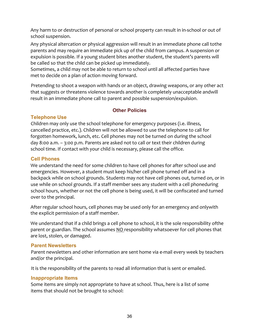Any harm to or destruction of personal or school property can result in in-school or out of school suspension.

Any physical altercation or physical aggression will result in an immediate phone call tothe parents and may require an immediate pick up of the child from campus. A suspension or expulsion is possible. If a young student bites another student, the student's parents will be called so that the child can be picked up immediately.

Sometimes, a child may not be able to return to school until all affected parties have met to decide on a plan of action moving forward.

Pretending to shoot a weapon with hands or an object, drawing weapons, or any other act that suggests or threatens violence towards another is completely unacceptable andwill result in an immediate phone call to parent and possible suspension/expulsion.

# **Other Policies**

# **Telephone Use**

Children may only use the school telephone for emergency purposes (i.e. illness, cancelled practice, etc.). Children will not be allowed to use the telephone to call for forgotten homework, lunch, etc. Cell phones may not be turned on during the school day 8:00 a.m. - 3:00 p.m. Parents are asked not to call or text their children during school time. If contact with your child is necessary, please call the office.

# **Cell Phones**

We understand the need for some children to have cell phones for after school use and emergencies. However, a student must keep his/her cell phone turned off and in a backpack while on school grounds. Students may not have cell phones out, turned on, or in use while on school grounds. If a staff member sees any student with a cell phoneduring school hours, whether or not the cell phone is being used, it will be confiscated and turned over to the principal.

After regular school hours, cell phones may be used only for an emergency and onlywith the explicit permission of a staff member.

We understand that if a child brings a cell phone to school, it is the sole responsibility of the parent or guardian. The school assumes NO responsibility whatsoever for cell phones that are lost, stolen, or damaged.

# **Parent Newsletters**

Parent newsletters and other information are sent home via e-mail every week by teachers and/or the principal.

It is the responsibility of the parents to read all information that is sent or emailed.

# **Inappropriate Items**

Some items are simply not appropriate to have at school. Thus, here is a list of some items that should not be brought to school: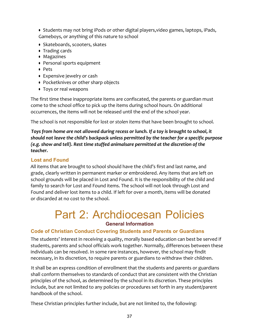● Students may not bring iPods or other digital players, video games, laptops, iPads, Gameboys, or anything of this nature to school

- Skateboards, scooters, skates
- Trading cards
- Magazines
- Personal sports equipment
- Pets
- Expensive jewelry or cash
- Pocketknives or other sharp objects
- Toys or real weapons

The first time these inappropriate items are confiscated, the parents or guardian must come to the school office to pick up the items during school hours. On additional occurrences, the items will not be released until the end of the school year.

The school is not responsible for lost or *stolen items* that have been brought to school.

*Toys* from home are not allowed during recess or lunch. If a toy is brought to school, it should not leave the child's backpack unless permitted by the teacher for a specific purpose *(e.g.* show and tell). Rest time stuffed animalsare permitted at the discretion of the *teacher.*

#### **Lost and Found**

All items that are brought to school should have the child's first and last name, and grade, clearly written in permanent marker or embroidered. Any items that are left on school grounds will be placed in Lost and Found. It is the responsibility of the child and family to search for Lost and Found items. The school will not look through Lost and Found and deliver lost items to a child. If left for over a month, items will be donated or discarded at no cost to the school.

# Part 2: Archdiocesan Policies **General Information**

# **Code of Christian Conduct Covering Students and Parents or Guardians**

The students' interest in receiving a quality, morally based education can best be served if students, parents and school officials work together. Normally, differences between these individuals can be resolved. In some rare instances, however, the school may findit necessary, in its discretion, to require parents or guardians to withdraw their children.

It shall be an express condition of enrollment that the students and parents or guardians shall conform themselves to standards of conduct that are consistent with the Christian principles of the school, as determined by the school in its discretion. These principles include, but are not limited to any policies or procedures set forth in any student/parent handbook of the school.

These Christian principles further include, but are not limited to, the following: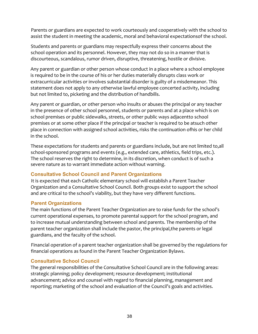Parents or guardians are expected to work courteously and cooperatively with the school to assist the student in meeting the academic, moral and behavioral expectationsof the school.

Students and parents or guardians may respectfully express their concerns about the school operation and its personnel. However, they may not do so in a manner that is discourteous, scandalous, rumor driven, disruptive, threatening, hostile or divisive.

Any parent or guardian or other person whose conduct in a place where a school employee is required to be in the course of his or her duties materially disrupts class work or extracurricular activities or involves substantial disorder is guilty of a misdemeanor. This statement does not apply to any otherwise lawful employee concerted activity, including but not limited to, picketing and the distribution of handbills.

Any parent or guardian, or other person who insults or abuses the principal or any teacher in the presence of other school personnel, students or parents and at a place which is on school premises or public sidewalks, streets, or other public ways adjacentto school premises or at some other place if the principal or teacher is required to be atsuch other place in connection with assigned school activities, risks the continuation ofhis or her child in the school.

These expectations for students and parents or guardians include, but are not limited to,all school-sponsored programs and events (e.g., extended care, athletics, field trips, etc.). The school reserves the right to determine, in its discretion, when conduct is of such a severe nature as to warrant immediate action without warning.

# **Consultative School Council and Parent Organizations**

It is expected that each Catholic elementary school will establish a Parent Teacher Organization and a Consultative School Council. Both groups exist to support the school and are critical to the school's viability, but they have very different functions.

#### **Parent Organizations**

The main functions of the Parent Teacher Organization are to raise funds for the school's current operational expenses, to promote parental support for the school program, and to increase mutual understanding between school and parents. The membership of the parent teacher organization shall include the pastor, the principal, the parents or legal guardians, and the faculty of the school.

Financial operation of a parent teacher organization shall be governed by the regulations for financial operations as found in the Parent Teacher Organization Bylaws.

# **Consultative School Council**

The general responsibilities of the Consultative School Council are in the following areas: strategic planning; policy development; resource development; institutional advancement; advice and counsel with regard to financial planning, management and reporting; marketing of the school and evaluation of the Council's goals and activities.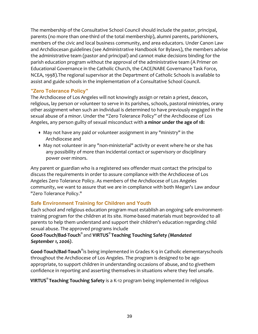The membership of the Consultative School Council should include the pastor, principal, parents (no more than one-third of the total membership), alumni parents, parishioners, members of the civic and local business community, and area educators. Under Canon Law and Archdiocesan guidelines (see Administrative Handbook for Bylaws), the members advise the administrative team (pastor and principal) and cannot make decisions binding for the parish education program without the approval of the administrative team (A Primer on Educational Governance in the Catholic Church, the CACE/NABE Governance Task Force, NCEA, 1998). The regional supervisor at the Department of Catholic Schools is available to assist and guide schools in the implementation of a Consultative School Council.

# **"Zero Tolerance Policy"**

The Archdiocese of Los Angeles will not knowingly assign or retain a priest, deacon, religious, lay person or volunteer to serve in its parishes, schools, pastoral ministries, orany other assignment when such an individual is determined to have previously engaged in the sexual abuse of a minor. Under the "Zero Tolerance Policy" of the Archdiocese of Los Angeles, any person guilty of sexual misconduct with a minor under the age of 18:

- May not have any paid or volunteer assignment in any "ministry" in the Archdiocese and
- May not volunteer in any "non-ministerial" activity or event where he or she has any possibility of more than incidental contact or supervisory or disciplinary power over minors.

Any parent or guardian who is a registered sex offender must contact the principal to discuss the requirements in order to assure compliance with the Archdiocese of Los Angeles Zero Tolerance Policy. As members of the Archdiocese of Los Angeles community, we want to assure that we are in compliance with both Megan's Law andour "Zero Tolerance Policy."

# **Safe Environment Training for Children and Youth**

Each school and religious education program must establish an ongoing safe environmenttraining program for the children at its site. Home-based materials must beprovided to all parents to help them understand and support their children's education regarding child sexual abuse. The approved programs include

# **Good-Touch/Bad-Touch®** and **VIRTUS® Teaching Touching Safety** *(Mandated September 1, 2006)*.

**Good-Touch/Bad-Touch<sup>®</sup>is** being implemented in Grades K-9 in Catholic elementaryschools throughout the Archdiocese of Los Angeles. The program is designed to be ageappropriate, to support children in understanding occasions of abuse, and to givethem confidence in reporting and asserting themselves in situations where they feel unsafe.

**VIRTUS<sup>®</sup> Teaching Touching Safety** is a K-12 program being implemented in religious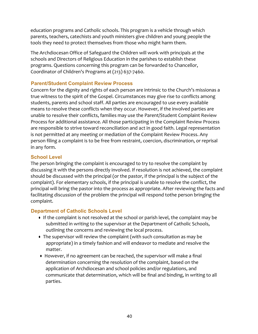education programs and Catholic schools. This program is a vehicle through which parents, teachers, catechists and youth ministers give children and young people the tools they need to protect themselves from those who might harm them.

The Archdiocesan Office of Safeguard the Children will work with principals at the schools and Directors of Religious Education in the parishes to establish these programs. Questions concerning this program can be forwarded to Chancellor, Coordinator of Children's Programs at (213) 637-7460.

# **Parent/Student Complaint Review Process**

Concern for the dignity and rights of each person are intrinsic to the Church's missionas a true witness to the spirit of the Gospel. Circumstances may give rise to conflicts among students, parents and school staff. All parties are encouraged to use every available means to resolve these conflicts when they occur. However, if the involved parties are unable to resolve their conflicts, families may use the Parent/Student Complaint Review Process for additional assistance. All those participating in the Complaint Review Process are responsible to strive toward reconciliation and act in good faith. Legal representation is not permitted at any meeting or mediation of the Complaint Review Process. Any person filing a complaint is to be free from restraint, coercion, discrimination, or reprisal in any form.

# **School Level**

The person bringing the complaint is encouraged to try to resolve the complaint by discussing it with the persons directly involved. If resolution is not achieved, the complaint should be discussed with the principal (or the pastor, if the principal is the subject of the complaint). For elementary schools, if the principal is unable to resolve the conflict, the principal will bring the pastor into the process as appropriate. After reviewing the facts and facilitating discussion of the problem the principal will respond tothe person bringing the complaint.

# **Department of Catholic Schools Level**

- If the complaint is not resolved at the school or parish level, the complaint may be submitted in writing to the supervisor at the Department of Catholic Schools, outlining the concerns and reviewing the local process.
- The supervisor will review the complaint (with such consultation as may be appropriate) in a timely fashion and will endeavor to mediate and resolve the matter.
- However, if no agreement can be reached, the supervisor will make a final determination concerning the resolution of the complaint, based on the application of Archdiocesan and school policies and/or regulations, and communicate that determination, which will be final and binding, in writing to all parties.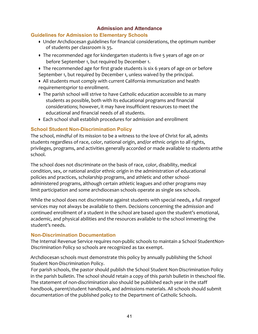# **Admission and Attendance**

#### **Guidelines for Admission to Elementary Schools**

- Under Archdiocesan guidelines for financial considerations, the optimum number of students per classroom is 35.
- The recommended age for kindergarten students is five 5 years of age on or before September 1, but required by December 1.
- The recommended age for first grade students is six 6 years of age on or before September 1, but required by December 1, unless waived by the principal.
- All students must comply with current California immunization and health requirementsprior to enrollment.
- The parish school will strive to have Catholic education accessible to as many students as possible, both with its educational programs and financial considerations; however, it may have insufficient resources to meet the educational and financial needs of all students.
- Each school shall establish procedures for admission and enrollment

# **School Student Non-Discrimination Policy**

The school, mindful of its mission to be a witness to the love of Christ for all, admits students regardless of race, color, national origin, and/or ethnic origin to all rights, privileges, programs, and activities generally accorded or made available to students atthe school.

The school does not discriminate on the basis of race, color, disability, medical condition, sex, or national and/or ethnic origin in the administration of educational policies and practices, scholarship programs, and athletic and other schooladministered programs, although certain athletic leagues and other programs may limit participation and some archdiocesan schools operate as single sex schools.

While the school does not discriminate against students with special needs, a full rangeof services may not always be available to them. Decisions concerning the admission and continued enrollment of a student in the school are based upon the student's emotional, academic, and physical abilities and the resources available to the school inmeeting the student's needs.

# **Non-Discrimination Documentation**

The Internal Revenue Service requires non-public schools to maintain a School StudentNon-Discrimination Policy so schools are recognized as tax exempt.

Archdiocesan schools must demonstrate this policy by annually publishing the School Student Non-Discrimination Policy.

For parish schools, the pastor should publish the School Student Non-Discrimination Policy in the parish bulletin. The school should retain a copy of this parish bulletin in theschool file. The statement of non-discrimination also should be published each year in the staff handbook, parent/student handbook, and admissions materials. All schools should submit documentation of the published policy to the Department of Catholic Schools.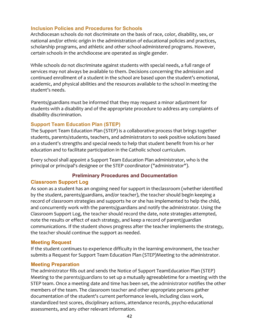#### **Inclusion Policies and Procedures for Schools**

Archdiocesan schools do not discriminate on the basis of race, color, disability, sex, or national and/or ethnic origin in the administration of educational policies and practices, scholarship programs, and athletic and other school-administered programs. However, certain schools in the archdiocese are operated as single gender.

While schools do not discriminate against students with special needs, a full range of services may not always be available to them. Decisions concerning the admission and continued enrollment of a student in the school are based upon the student's emotional, academic, and physical abilities and the resources available to the school in meeting the student's needs.

Parents/guardians must be informed that they may request a minor adjustment for students with a disability and of the appropriate procedure to address any complaints of disability discrimination.

#### **Support Team Education Plan (STEP)**

The Support Team Education Plan (STEP) is a collaborative process that brings together students, parents/students, teachers, and administrators to seek positive solutions based on a student's strengths and special needs to help that student benefit from his or her education and to facilitate participation in the Catholic school curriculum.

Every school shall appoint a Support Team Education Plan administrator, who is the principal or principal's designee or the STEP coordinator ("administrator").

# **Preliminary Procedures and Documentation**

#### **Classroom Support Log**

As soon as a student has an ongoing need for support in theclassroom (whether identified by the student, parents/guardians, and/or teacher), the teacher should begin keeping a record of classroom strategies and supports he or she has implemented to help the child, and concurrently work with the parents/guardians and notify the administrator. Using the Classroom Support Log, the teacher should record the date, note strategies attempted, note the results or effect of each strategy, and keep a record of parent/guardian communications. If the student shows progress after the teacher implements the strategy, the teacher should continue the support as needed.

#### **Meeting Request**

If the student continues to experience difficulty in the learning environment, the teacher submits a Request for Support Team Education Plan (STEP)Meeting to the administrator.

#### **Meeting Preparation**

The administrator fills out and sends the Notice of Support TeamEducation Plan (STEP) Meeting to the parents/guardians to set up a mutually agreeabletime for a meeting with the STEP team. Once a meeting date and time has been set, the administrator notifies the other members of the team. The classroom teacher and other appropriate persons gather documentation of the student's current performance levels, including class work, standardized test scores, disciplinary actions, attendance records, psycho-educational assessments, and any other relevant information.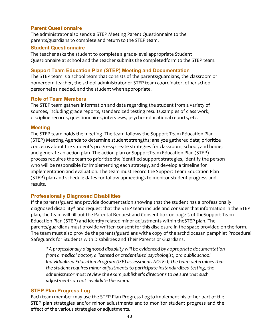#### **Parent Questionnaire**

The administrator also sends a STEP Meeting Parent Questionnaire to the parents/guardians to complete and return to the STEP team.

#### **Student Questionnaire**

The teacher asks the student to complete a grade-level appropriate Student Questionnaire at school and the teacher submits the completedform to the STEP team.

#### **Support Team Education Plan (STEP) Meeting and Documentation**

The STEP team is a school team that consists of the parents/guardians, the classroom or homeroom teacher, the school administrator or STEP team coordinator, other school personnel as needed, and the student when appropriate.

#### **Role of Team Members**

The STEP team gathers information and data regarding the student from a variety of sources, including grade reports, standardized testing results, samples of class work, discipline records, questionnaires, interviews, psycho- educational reports, etc.

#### **Meeting**

The STEP team holds the meeting. The team follows the Support Team Education Plan (STEP) Meeting Agenda to determine student strengths; analyze gathered data; prioritize concerns about the student's progress; create strategies for classroom, school, and home; and generate an action plan. The action plan or SupportTeam Education Plan (STEP) process requires the team to prioritize the identified support strategies, identify the person who will be responsible for implementing each strategy, and develop a timeline for implementation and evaluation. The team must record the Support Team Education Plan (STEP) plan and schedule dates for follow-upmeetings to monitor student progress and results.

# **Professionally Diagnosed Disabilities**

If the parents/guardians provide documentation showing that the student has a professionally diagnosed disability\* and request that the STEP team include and consider that information in the STEP plan, the team will fill out the Parental Request and Consent box on page 3 of theSupport Team Education Plan (STEP) and identify related minor adjustments within theSTEP plan. The parents/guardians must provide written consent for this disclosure in the space provided on the form. The team must also provide the parents/guardians witha copy of the archdiocesan pamphlet Procedural Safeguards for Students with Disabilities and Their Parents or Guardians.

*\*A professionally diagnosed disability will be evidenced by appropriate documentation from a medical doctor, a licensed or credentialed psychologist, ora public school Individualized Education Program (IEP)* assessment. NOTE: If the team determines that the student requires minor adjustments to participate instandardized testing, the *administrator* must review the exam publisher's directions to be sure that such *adjustments do not invalidate the exam.*

# **STEP Plan Progress Log**

Each team member may use the STEP Plan Progress Logto implement his or her part of the STEP plan strategies and/or minor adjustments and to monitor student progress and the effect of the various strategies or adjustments.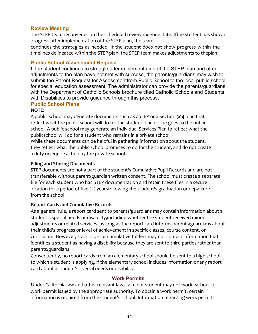#### **Review Meeting**

The STEP team reconvenes on the scheduled review meeting date. Ifthe student has shown progress after implementation of the STEP plan, the team

continues the strategies as needed. If the student does not show progress within the timelines delineated within the STEP plan, the STEP team makes adjustments to theplan.

#### **Public School Assessment Request**

If the student continues to struggle after implementation of the STEP plan and after adjustments to the plan have not met with success, the parents/guardians may wish to submit the Parent Request for Assessmentfrom Public School to the local public school for special education assessment. The administrator can provide the parents/guardians with the Department of Catholic Schools brochure titled Catholic Schools and Students with Disabilities to provide guidance through this process.

# **Public School Plans**

#### **NOTE:**

A public school may generate documents such as an IEP or a Section 504 plan that reflect what the public school will do for the student if he or she goes to the public school. A public school may generate an Individual Services Plan to reflect what the publicschool will do for a student who remains in a private school.

While these documents can be helpful in gathering information about the student, they reflect what the public school promises to do for the student, and do not create a duty orrequire action by the private school.

#### **Filing and Storing Documents**

STEP documents are not a part of the student's Cumulative Pupil Records and are not transferable without parent/guardian written consent. The school must create a separate file for each student who has STEP documentation and retain these files in a secure location for a period of five  $(5)$  yearsfollowing the student's graduation or departure from the school.

# **Report Cards and Cumulative Records**

As a general rule, a report card sent to parents/guardians may contain information about a student's special needs or disability, including whether the student received minor adjustments or related services, as long as the report card informs parents/guardians about their child's progress or level of achievement in specific classes, course content, or curriculum. However, transcripts or cumulative folders may not contain information that identifies a student as having a disability because they are sent to third parties rather than parents/guardians.

Consequently, no report cards from an elementary school should be sent to a high school to which a student is applying, if the elementary school includes information onany report card about a student's special needs or disability.

# **Work Permits**

Under California law and other relevant laws, a minor student may not work without a work permit issued by the appropriate authority. To obtain a work permit, certain information is required from the student's school. Information regarding work permits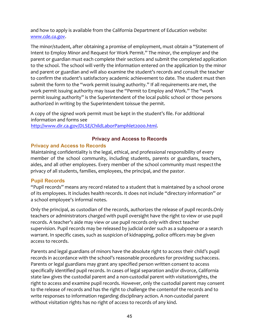and how to apply is available from the California Department of Education website: *www.cde.ca.gov*.

The minor/student, after obtaining a promise of employment, must obtain a "Statement of Intent to Employ Minor and Request for Work Permit." The minor, the employer and the parent or guardian must each complete their sections and submit the completed application to the school. The school will verify the information entered on the application by the minor and parent or guardian and will also examine the student's records and consult the teacher to confirm the student's satisfactory academic achievement to date. The student must then submit the form to the "work permit issuing authority." If all requirements are met, the work permit issuing authority may issue the "Permit to Employ and Work." The "work permit issuing authority" is the Superintendent of the local public school or those persons authorized in writing by the Superintendent toissue the permit.

A copy of the signed work permit must be kept in the student's file. For additional information and forms see http://www.dir.ca.gov/DLSE/ChildLaborPamphlet2000.html.

# **Privacy and Access to Records**

#### **Privacy and Access to Records**

Maintaining confidentiality is the legal, ethical, and professional responsibility of every member of the school community, including students, parents or guardians, teachers, aides, and all other employees. Every member of the school community must respect the privacy of all students, families, employees, the principal, and the pastor.

#### **Pupil Records**

"Pupil records" means any record related to a student that is maintained by a school orone of its employees. It includes health records. It does not include "directory information" or a school employee's informal notes.

Only the principal, as custodian of the records, authorizes the release of pupil records.Only teachers or administrators charged with pupil oversight have the right to view or use pupil records. A teacher's aide may view or use pupil records only with direct teacher supervision. Pupil records may be released by judicial order such as a subpoena or a search warrant. In specific cases, such as suspicion of kidnapping, police officers may be given access to records.

Parents and legal guardians of minors have the absolute right to access their child's pupil records in accordance with the school's reasonable procedures for providing suchaccess. Parents or legal guardians may grant any specified person written consent to access specifically identified pupil records. In cases of legal separation and/or divorce, California state law gives the custodial parent and a non-custodial parent with visitationrights, the right to access and examine pupil records. However, only the custodial parent may consent to the release of records and has the right to challenge the contentof the records and to write responses to information regarding disciplinary action. A non-custodial parent without visitation rights has no right of access to records of any kind.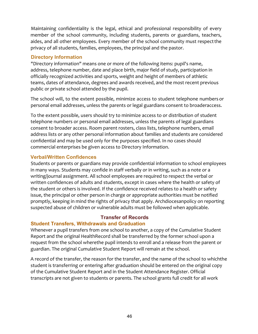Maintaining confidentiality is the legal, ethical and professional responsibility of every member of the school community, including students, parents or guardians, teachers, aides, and all other employees. Every member of the school community must respect the privacy of all students, families, employees, the principal and the pastor.

# **Directory Information**

"Directory information" means one or more of the following items: pupil's name, address, telephone number, date and place birth, major field of study, participation in officially recognized activities and sports, weight and height of members of athletic teams, dates of attendance, degrees and awards received, and the most recent previous public or private school attended by the pupil.

The school will, to the extent possible, minimize access to student telephone numbers or personal email addresses, unless the parents or legal guardians consent to broaderaccess.

To the extent possible, users should try to minimize access to or distribution of student telephone numbers or personal email addresses, unless the parents of legal guardians consent to broader access. Room parent rosters, class lists, telephone numbers, email address lists or any other personal information about families and students are considered confidential and may be used only for the purposes specified. In no cases should commercial enterprises be given access to Directory Information.

#### **Verbal/Written Confidences**

Students or parents or guardians may provide confidential information to school employees in many ways. Students may confide in staff verbally or in writing, such as a note or a writing/journal assignment. All school employees are required to respect the verbal or written confidences of adults and students, except in cases where the health or safety of the student or others is involved. If the confidence received relates to a health or safety issue, the principal or other person in charge or appropriate authorities must be notified promptly, keeping in mind the rights of privacy that apply. Archdiocesanpolicy on reporting suspected abuse of children or vulnerable adults must be followed when applicable.

#### **Transfer of Records Student Transfers, Withdrawals and Graduation**

Whenever a pupil transfers from one school to another, a copy of the Cumulative Student Report and the original HealthRecord shall be transferred by the former school upon a request from the school wherethe pupil intends to enroll and a release from the parent or guardian. The original Cumulative Student Report will remain at the school.

A record of the transfer, the reason for the transfer, and the name of the school to whichthe student is transferring or entering after graduation should be entered on the original copy of the Cumulative Student Report and in the Student Attendance Register. Official transcripts are not given to students or parents. The school grants full credit for all work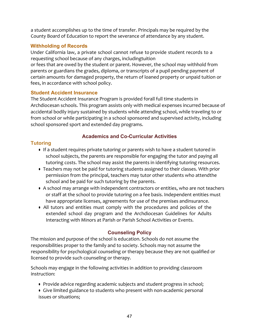a student accomplishes up to the time of transfer. Principals may be required by the County Board of Education to report the severance of attendance by any student.

# **Withholding of Records**

Under California law, a private school cannot refuse to provide student records to a requesting school because of any charges, includingtuition

or fees that are owed by the student or parent. However, the school may withhold from parents or guardians the grades, diploma, or transcripts of a pupil pending payment of certain amounts for damaged property, the return of loaned property or unpaid tuition or fees, in accordance with school policy.

# **Student Accident Insurance**

The Student Accident Insurance Program is provided forall full time students in Archdiocesan schools. This program assists only with medical expenses incurred because of accidental bodily injury sustained by students while attending school, while traveling to or from school or while participating in a school sponsored and supervised activity, including school sponsored sport and extended day programs.

# **Academics and Co-Curricular Activities**

# **Tutoring**

- If a student requires private tutoring or parents wish to have a student tutored in school subjects, the parents are responsible for engaging the tutor and paying all tutoring costs. The school may assist the parents in identifying tutoring resources.
- Teachers may not be paid for tutoring students assigned to their classes. With prior permission from the principal, teachers may tutor other students who attendthe school and be paid for such tutoring by the parents.
- A school may arrange with independent contractors or entities, who are not teachers or staff at the school to provide tutoring on a fee basis. Independent entities must have appropriate licenses, agreements for use of the premises andinsurance.
- All tutors and entities must comply with the procedures and policies of the extended school day program and the Archdiocesan Guidelines for Adults Interacting with Minors at Parish or Parish School Activities or Events.

# **Counseling Policy**

The mission and purpose of the school is education. Schools do not assume the responsibilities proper to the family and to society. Schools may not assume the responsibility for psychological counseling or therapy because they are not qualified or licensed to provide such counseling or therapy.

Schools may engage in the following activities in addition to providing classroom instruction:

- Provide advice regarding academic subjects and student progress in school;
- Give limited guidance to students who present with non-academic personal issues or situations;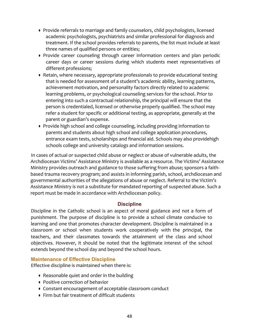- Provide referrals to marriage and family counselors, child psychologists, licensed academic psychologists, psychiatrists and similar professional for diagnosis and treatment. If the school provides referrals to parents, the list must include at least three names of qualified persons or entities;
- Provide career counseling through career information centers and plan periodic career days or career sessions during which students meet representatives of different professions;
- Retain, where necessary, appropriate professionals to provide educational testing that is needed for assessment of a student's academic ability, learning patterns, achievement motivation, and personality factors directly related to academic learning problems, or psychological counseling services for the school. Prior to entering into such a contractual relationship, the principal will ensure that the person is credentialed, licensed or otherwise properly qualified. The school may refer a student for specific or additional testing, as appropriate, generally at the parent or guardian's expense.
- Provide high school and college counseling, including providing information to parents and students about high school and college application procedures, entrance exam tests, scholarships and financial aid. Schools may also providehigh schools college and university catalogs and information sessions.

In cases of actual or suspected child abuse or neglect or abuse of vulnerable adults, the Archdiocesan Victims' Assistance Ministry is available as a resource. The Victims' Assistance Ministry provides outreach and guidance to those suffering from abuse; sponsors a faithbased trauma recovery program; and assists in informing parish, school, archdiocesan and governmental authorities of the allegations of abuse or neglect. Referral to the Victim's Assistance Ministry is not a substitute for mandated reporting of suspected abuse. Such a report must be made in accordance with Archdiocesan policy.

# **Discipline**

Discipline in the Catholic school is an aspect of moral guidance and not a form of punishment. The purpose of discipline is to provide a school climate conducive to learning and one that promotes character development. Discipline is maintained in a classroom or school when students work cooperatively with the principal, the teachers, and their classmates towards the attainment of the class and school objectives. However, it should be noted that the legitimate interest of the school extends beyond the school day and beyond the school hours.

# **Maintenance of Effective Discipline**

Effective discipline is maintained when there is:

- Reasonable quiet and order in the building
- Positive correction of behavior
- Constant encouragement of acceptable classroom conduct
- Firm but fair treatment of difficult students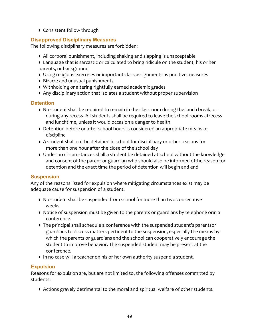• Consistent follow through

# **Disapproved Disciplinary Measures**

The following disciplinary measures are forbidden:

- All corporal punishment, including shaking and slapping is unacceptable
- Language that is sarcastic or calculated to bring ridicule on the student, his or her parents, or background
- Using religious exercises or important class assignments as punitive measures
- Bizarre and unusual punishments
- Withholding or altering rightfully earned academic grades
- Any disciplinary action that isolates a student without proper supervision

# **Detention**

- No student shall be required to remain in the classroom during the lunch break, or during any recess. All students shall be required to leave the school rooms atrecess and lunchtime, unless it would occasion a danger to health
- Detention before or after school hours is considered an appropriate means of discipline
- A student shall not be detained in school for disciplinary or other reasons for more than one hour after the close of the school day
- Under no circumstances shall a student be detained at school without the knowledge and consent of the parent or guardian who should also be informed ofthe reason for detention and the exact time the period of detention will begin and end

# **Suspension**

Any of the reasons listed for expulsion where mitigating circumstances exist may be adequate cause for suspension of a student.

- No student shall be suspended from school for more than two consecutive weeks.
- Notice of suspension must be given to the parents or guardians by telephone orin a conference.
- The principal shall schedule a conference with the suspended student's parentsor guardians to discuss matters pertinent to the suspension, especially the means by which the parents or guardians and the school can cooperatively encourage the student to improve behavior. The suspended student may be present at the conference.
- In no case will a teacher on his or her own authority suspend a student.

# **Expulsion**

Reasons for expulsion are, but are not limited to, the following offenses committed by students:

• Actions gravely detrimental to the moral and spiritual welfare of other students.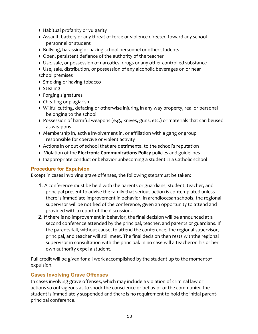- Habitual profanity or vulgarity
- Assault, battery or any threat of force or violence directed toward any school personnel or student
- Bullying, harassing or hazing school personnel or other students
- Open, persistent defiance of the authority of the teacher
- Use, sale, or possession of narcotics, drugs or any other controlled substance
- Use, sale, distribution, or possession of any alcoholic beverages on or near
- school premises
- Smoking or having tobacco
- Stealing
- Forging signatures
- Cheating or plagiarism
- Willful cutting, defacing or otherwise injuring in any way property, real or personal belonging to the school
- Possession of harmful weapons (e.g., knives, guns, etc.) or materials that can beused as weapons
- Membership in, active involvement in, or affiliation with a gang or group responsible for coercive or violent activity
- Actions in or out of school that are detrimental to the school's reputation
- **•** Violation of the **Electronic Communications Policy** policies and guidelines
- Inappropriate conduct or behavior unbecoming a student in a Catholic school

# **Procedure for Expulsion**

Except in cases involving grave offenses, the following stepsmust be taken:

- 1. A conference must be held with the parents or guardians, student, teacher, and principal present to advise the family that serious action is contemplated unless there is immediate improvement in behavior. In archdiocesan schools, the regional supervisor will be notified of the conference, given an opportunity to attend and provided with a report of the discussion.
- 2. If there is no improvement in behavior, the final decision will be announced at a second conference attended by the principal, teacher, and parents or guardians. If the parents fail, without cause, to attend the conference, the regional supervisor, principal, and teacher will still meet. The final decision then rests withthe regional supervisor in consultation with the principal. In no case will a teacheron his or her own authority expel a student.

Full credit will be given for all work accomplished by the student up to the momentof expulsion.

# **Cases Involving Grave Offenses**

In cases involving grave offenses, which may include a violation of criminal law or actions so outrageous as to shock the conscience or behavior of the community, the student is immediately suspended and there is no requirement to hold the initial parentprincipal conference.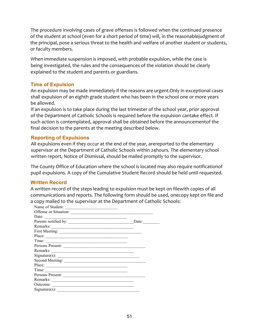The procedure involving cases of grave offenses is followed when the continued presence of the student at school (even for a short period of time) will, in the reasonablejudgment of the principal, pose a serious threat to the health and welfare of another student or students, or faculty members.

When immediate suspension is imposed, with probable expulsion, while the case is being investigated, the rules and the consequences of the violation should be clearly explained to the student and parents or guardians.

#### **Time of Expulsion**

An expulsion may be made immediately if the reasons are urgent. Only in exceptional cases shall expulsion of an eighth grade student who has been in the school one or more years be allowed.

If an expulsion is to take place during the last trimester of the school year, prior approval of the Department of Catholic Schools is required before the expulsion cantake effect. If such action is contemplated, approval shall be obtained before the announcementof the final decision to the parents at the meeting described below.

#### **Reporting of Expulsions**

All expulsions even if they occur at the end of the year, arereported to the elementary supervisor at the Department of Catholic Schools within 24hours. The elementary school written report, Notice of Dismissal, should be mailed promptly to the supervisor.

The County Office of Education where the school is located may also require notificationof pupil expulsions. A copy of the Cumulative Student Record should be held until requested.

# **Written Record**

A written record of the steps leading to expulsion must be kept on filewith copies of all communications and reports. The following form should be used, onecopy kept on file and a copy mailed to the supervisor at the Department of Catholic Schools:

| Name of Student:                                                                                                                                                                                                                                                                                                                                                                                              |                              |
|---------------------------------------------------------------------------------------------------------------------------------------------------------------------------------------------------------------------------------------------------------------------------------------------------------------------------------------------------------------------------------------------------------------|------------------------------|
|                                                                                                                                                                                                                                                                                                                                                                                                               |                              |
| Date: $\frac{1}{\sqrt{1-\frac{1}{2}}\sqrt{1-\frac{1}{2}}\sqrt{1-\frac{1}{2}}\sqrt{1-\frac{1}{2}}\sqrt{1-\frac{1}{2}}\sqrt{1-\frac{1}{2}}\sqrt{1-\frac{1}{2}}\sqrt{1-\frac{1}{2}}\sqrt{1-\frac{1}{2}}\sqrt{1-\frac{1}{2}}\sqrt{1-\frac{1}{2}}\sqrt{1-\frac{1}{2}}\sqrt{1-\frac{1}{2}}\sqrt{1-\frac{1}{2}}\sqrt{1-\frac{1}{2}}\sqrt{1-\frac{1}{2}}\sqrt{1-\frac{1}{2}}\sqrt{1-\frac{1}{2}}\sqrt{1-\frac{1}{2}}$ |                              |
| Parents notified by:                                                                                                                                                                                                                                                                                                                                                                                          | Date: $\qquad \qquad \qquad$ |
|                                                                                                                                                                                                                                                                                                                                                                                                               |                              |
|                                                                                                                                                                                                                                                                                                                                                                                                               |                              |
|                                                                                                                                                                                                                                                                                                                                                                                                               |                              |
|                                                                                                                                                                                                                                                                                                                                                                                                               |                              |
| Persons Present:                                                                                                                                                                                                                                                                                                                                                                                              |                              |
|                                                                                                                                                                                                                                                                                                                                                                                                               |                              |
| Signature(s):                                                                                                                                                                                                                                                                                                                                                                                                 |                              |
|                                                                                                                                                                                                                                                                                                                                                                                                               |                              |
| Place:                                                                                                                                                                                                                                                                                                                                                                                                        |                              |
|                                                                                                                                                                                                                                                                                                                                                                                                               |                              |
|                                                                                                                                                                                                                                                                                                                                                                                                               |                              |
|                                                                                                                                                                                                                                                                                                                                                                                                               |                              |
| Outcome:                                                                                                                                                                                                                                                                                                                                                                                                      |                              |
| Signature(s):                                                                                                                                                                                                                                                                                                                                                                                                 |                              |
|                                                                                                                                                                                                                                                                                                                                                                                                               |                              |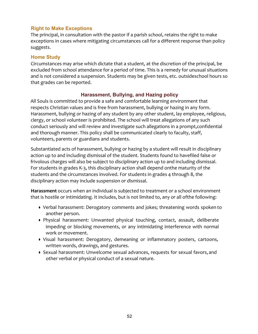# **Right to Make Exceptions**

The principal, in consultation with the pastor if a parish school, retains the right to make exceptions in cases where mitigating circumstances call for a different response than policy suggests.

#### **Home Study**

Circumstances may arise which dictate that a student, at the discretion of the principal, be excluded from school attendance for a period of time. This is a remedy for unusual situations and is not considered a suspension. Students may be given tests, etc. outsideschool hours so that grades can be reported.

#### **Harassment, Bullying, and Hazing policy**

All Souls is committed to provide a safe and comfortable learning environment that respects Christian values and is free from harassment, bullying or hazing in any form. Harassment, bullying or hazing of any student by any other student, lay employee, religious, clergy, or school volunteer is prohibited. The school will treat allegations of any such conduct seriously and will review and investigate such allegations in a prompt, confidential and thorough manner. This policy shall be communicated clearly to faculty, staff, volunteers, parents or guardians and students.

Substantiated acts of harassment, bullying or hazing by a student will result in disciplinary action up to and including dismissal of the student. Students found to havefiled false or frivolous charges will also be subject to disciplinary action up to and including dismissal. For students in grades K-3, this disciplinary action shall depend onthe maturity of the students and the circumstances involved. For students in grades 4 through 8, the disciplinary action may include suspension or dismissal.

Harassment occurs when an individual is subjected to treatment or a school environment that is hostile or intimidating. It includes, but is not limited to, any or all ofthe following:

- Verbal harassment: Derogatory comments and jokes; threatening words spoken to another person.
- Physical harassment: Unwanted physical touching, contact, assault, deliberate impeding or blocking movements, or any intimidating interference with normal work or movement.
- Visual harassment: Derogatory, demeaning or inflammatory posters, cartoons, written words, drawings, and gestures.
- Sexual harassment: Unwelcome sexual advances, requests for sexual favors, and other verbal or physical conduct of a sexual nature.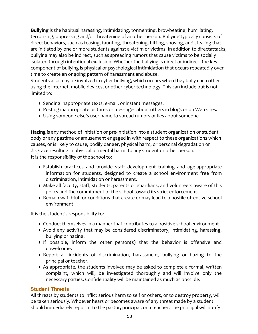**Bullying** is the habitual harassing, intimidating, tormenting, browbeating, humiliating, terrorizing, oppressing and/or threatening of another person. Bullying typically consists of direct behaviors, such as teasing, taunting, threatening, hitting, shoving, and stealing that are initiated by one or more students against a victim or victims. In addition to directattacks, bullying may also be indirect, such as spreading rumors that cause victims to be socially isolated through intentional exclusion. Whether the bullying is direct or indirect, the key component of bullying is physical or psychological intimidation that occurs repeatedly over time to create an ongoing pattern of harassment and abuse.

Students also may be involved in cyber bullying, which occurs when they bully each other using the internet, mobile devices, or other cyber technology. This can include but is not limited to:

- Sending inappropriate texts, e-mail, or instant messages.
- Posting inappropriate pictures or messages about others in blogs or on Web sites.
- Using someone else's user name to spread rumors or lies about someone.

Hazing is any method of initiation or pre-initiation into a student organization or student body or any pastime or amusement engaged in with respect to these organizations which causes, or is likely to cause, bodily danger, physical harm, or personal degradation or disgrace resulting in physical or mental harm, to any student or other person. It is the responsibility of the school to:

- Establish practices and provide staff development training and age-appropriate information for students, designed to create a school environment free from discrimination, intimidation or harassment.
- Make all faculty, staff, students, parents or guardians, and volunteers aware of this policy and the commitment of the school toward its strict enforcement.
- Remain watchful for conditions that create or may lead to a hostile offensive school environment.

It is the student's responsibility to:

- Conduct themselves in a manner that contributes to a positive school environment.
- Avoid any activity that may be considered discriminatory, intimidating, harassing, bullying or hazing.
- If possible, inform the other person(s) that the behavior is offensive and unwelcome.
- Report all incidents of discrimination, harassment, bullying or hazing to the principal or teacher.
- As appropriate, the students involved may be asked to complete a formal, written complaint, which will, be investigated thoroughly and will involve only the necessary parties. Confidentiality will be maintained as much as possible.

# **Student Threats**

All threats by students to inflict serious harm to self or others, or to destroy property, will be taken seriously. Whoever hears or becomes aware of any threat made by a student should immediately report it to the pastor, principal, or a teacher. The principal will notify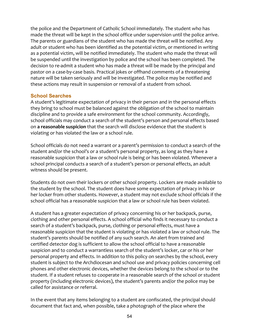the police and the Department of Catholic School immediately. The student who has made the threat will be kept in the school office under supervision until the police arrive. The parents or guardians of the student who has made the threat will be notified. Any adult or student who has been identified as the potential victim, or mentioned in writing as a potential victim, will be notified immediately. The student who made the threat will be suspended until the investigation by police and the school has been completed. The decision to re-admit a student who has made a threat will be made by the principal and pastor on a case-by-case basis. Practical jokes or offhand comments of a threatening nature will be taken seriously and will be investigated. The police may be notified and these actions may result in suspension or removal of a student from school.

#### **School Searches**

A student's legitimate expectation of privacy in their person and in the personal effects they bring to school must be balanced against the obligation of the school to maintain discipline and to provide a safe environment for the school community. Accordingly, school officials may conduct a search of the student's person and personal effects based on a reasonable suspicion that the search will disclose evidence that the student is violating or has violated the law or a school rule.

School officials do not need a warrant or a parent's permission to conduct a search of the student and/or the school's or a student's personal property, as long as they have a reasonable suspicion that a law or school rule is being or has been violated. Whenever a school principal conducts a search of a student's person or personal effects, an adult witness should be present.

Students do not own their lockers or other school property. Lockers are made available to the student by the school. The student does have some expectation of privacy in his or her locker from other students. However, a student may not exclude school officials if the school official has a reasonable suspicion that a law or school rule has been violated.

A student has a greater expectation of privacy concerning his or her backpack, purse, clothing and other personal effects. A school official who finds it necessary to conduct a search of a student's backpack, purse, clothing or personal effects, must have a reasonable suspicion that the student is violating or has violated a law or school rule. The student's parents should be notified of any such search. An alert from trained and certified detector dog is sufficient to allow the school official to have a reasonable suspicion and to conduct a warrantless search of the student's locker, car or his or her personal property and effects. In addition to this policy on searches by the school, every student is subject to the Archdiocesan and school use and privacy policies concerning cell phones and other electronic devices, whether the devices belong to the school or to the student. If a student refuses to cooperate in a reasonable search of the school or student property (including electronic devices), the student's parents and/or the police may be called for assistance or referral.

In the event that any items belonging to a student are confiscated, the principal should document that fact and, when possible, take a photograph of the place where the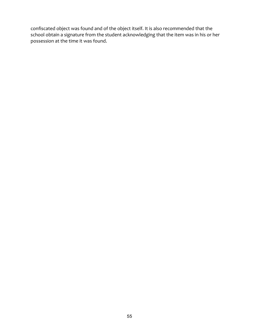confiscated object was found and of the object itself. It is also recommended that the school obtain a signature from the student acknowledging that the item was in his or her possession at the time it was found.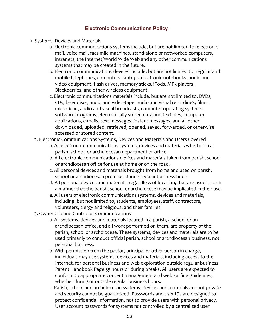# **Electronic Communications Policy**

- 1. Systems, Devices and Materials
	- a. Electronic communications systems include, but are not limited to, electronic mail, voice mail, facsimile machines, stand-alone or networked computers, intranets, the Internet/World Wide Web and any other communications systems that may be created in the future.
	- b. Electronic communications devices include, but are not limited to, regular and mobile telephones, computers, laptops, electronic notebooks, audio and video equipment, flash drives, memory sticks, iPods, MP3 players, Blackberries, and other wireless equipment.
	- c. Electronic communications materials include, but are not limited to, DVDs, CDs, laser discs, audio and video-tape, audio and visual recordings, films, microfiche, audio and visual broadcasts, computer operating systems, software programs, electronically stored data and text files, computer applications, e-mails, text messages, instant messages, and all other downloaded, uploaded, retrieved, opened, saved, forwarded, or otherwise accessed or stored content.
	- 2. Electronic Communications Systems, Devices and Materials and Users Covered
		- a. All electronic communications systems, devices and materials whether in a parish, school, or archdiocesan department or office.
		- b. All electronic communications devices and materials taken from parish, school or archdiocesan office for use at home or on the road.
		- c. All personal devices and materials brought from home and used on parish, school or archdiocesan premises during regular business hours.
		- d. All personal devices and materials, regardless of location, that are used in such a manner that the parish, school or archdiocese may be implicated in their use.
		- e. All users of electronic communications systems, devices and materials, including, but not limited to, students, employees, staff, contractors, volunteers, clergy and religious, and their families.
	- 3. Ownership and Control of Communications
		- a. All systems, devices and materials located in a parish, a school or an archdiocesan office, and all work performed on them, are property of the parish, school or archdiocese. These systems, devices and materials are to be used primarily to conduct official parish, school or archdiocesan business, not personal business.
		- b. With permission from the pastor, principal or other person in charge, individuals may use systems, devices and materials, including access to the Internet, for personal business and web exploration outside regular business Parent Handbook Page 55 hours or during breaks. All users are expected to conform to appropriate content management and web surfing guidelines, whether during or outside regular business hours.
		- c. Parish, school and archdiocesan systems, devices and materials are not private and security cannot be guaranteed. Passwords and user IDs are designed to protect confidential information, not to provide users with personal privacy. User account passwords for systems not controlled by a centralized user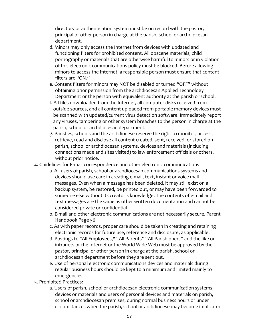directory or authentication system must be on record with the pastor, principal or other person in charge at the parish, school or archdiocesan department. 

- d. Minors may only access the Internet from devices with updated and functioning filters for prohibited content. All obscene materials, child pornography or materials that are otherwise harmful to minors or in violation of this electronic communications policy must be blocked. Before allowing minors to access the Internet, a responsible person must ensure that content filters are "ON."
- e. Content filters for minors may NOT be disabled or turned "OFF" without obtaining prior permission from the archdiocesan Applied Technology Department or the person with equivalent authority at the parish or school.
- f. All files downloaded from the Internet, all computer disks received from outside sources, and all content uploaded from portable memory devices must be scanned with updated/current virus detection software. Immediately report any viruses, tampering or other system breaches to the person in charge at the parish, school or archdiocesan department.
- g. Parishes, schools and the archdiocese reserve the right to monitor, access, retrieve, read and disclose all content created, sent, received, or stored on parish, school or archdiocesan systems, devices and materials (including connections made and sites visited) to law enforcement officials or others, without prior notice.
- 4. Guidelines for E-mail correspondence and other electronic communications
	- a. All users of parish, school or archdiocesan communications systems and devices should use care in creating e-mail, text, instant or voice mail messages. Even when a message has been deleted, it may still exist on a backup system, be restored, be printed out, or may have been forwarded to someone else without its creator's knowledge. The contents of e-mail and text messages are the same as other written documentation and cannot be considered private or confidential.
	- b. E-mail and other electronic communications are not necessarily secure. Parent Handbook Page 56
	- c. As with paper records, proper care should be taken in creating and retaining electronic records for future use, reference and disclosure, as applicable.
	- d. Postings to "All Employees," "All Parents" "All Parishioners" and the like on intranets or the Internet or the World Wide Web must be approved by the pastor, principal or other person in charge at the parish, school or archdiocesan department before they are sent out.
	- e. Use of personal electronic communications devices and materials during regular business hours should be kept to a minimum and limited mainly to emergencies.
- 5. Prohibited Practices:
	- a. Users of parish, school or archdiocesan electronic communication systems, devices or materials and users of personal devices and materials on parish, school or archdiocesan premises, during normal business hours or under circumstances when the parish, school or archdiocese may become implicated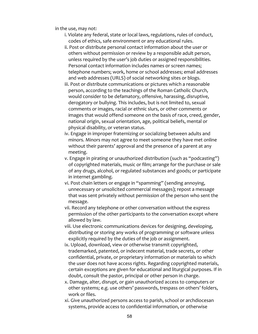in the use, may not:

- i. Violate any federal, state or local laws, regulations, rules of conduct, codes of ethics, safe environment or any educational rules.
- ii. Post or distribute personal contact information about the user or others without permission or review by a responsible adult person, unless required by the user's job duties or assigned responsibilities. Personal contact information includes names or screen names: telephone numbers; work, home or school addresses; email addresses and web addresses (URLS) of social networking sites or blogs.
- iii. Post or distribute communications or pictures which a reasonable person, according to the teachings of the Roman Catholic Church, would consider to be defamatory, offensive, harassing, disruptive, derogatory or bullying. This includes, but is not limited to, sexual comments or images, racial or ethnic slurs, or other comments or images that would offend someone on the basis of race, creed, gender, national origin, sexual orientation, age, political beliefs, mental or physical disability, or veteran status.
- iv. Engage in improper fraternizing or socializing between adults and minors. Minors may not agree to meet someone they have met online without their parents' approval and the presence of a parent at any meeting.
- v. Engage in pirating or unauthorized distribution (such as "podcasting") of copyrighted materials, music or film; arrange for the purchase or sale of any drugs, alcohol, or regulated substances and goods; or participate in internet gambling.
- vi. Post chain letters or engage in "spamming" (sending annoying, unnecessary or unsolicited commercial messages); repost a message that was sent privately without permission of the person who sent the message.
- vii. Record any telephone or other conversation without the express permission of the other participants to the conversation except where allowed by law.
- viii. Use electronic communications devices for designing, developing, distributing or storing any works of programming or software unless explicitly required by the duties of the job or assignment.
- ix. Upload, download, view or otherwise transmit copyrighted, trademarked, patented, or indecent material, trade secrets, or other confidential, private, or proprietary information or materials to which the user does not have access rights. Regarding copyrighted materials, certain exceptions are given for educational and liturgical purposes. If in doubt, consult the pastor, principal or other person in charge.
- x. Damage, alter, disrupt, or gain unauthorized access to computers or other systems; e.g. use others' passwords, trespass on others' folders, work or files.
- xi. Give unauthorized persons access to parish, school or archdiocesan systems, provide access to confidential information, or otherwise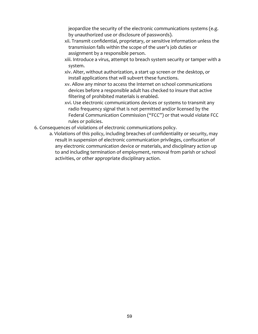jeopardize the security of the electronic communications systems (e.g. by unauthorized use or disclosure of passwords).

- xii. Transmit confidential, proprietary, or sensitive information unless the transmission falls within the scope of the user's job duties or assignment by a responsible person.
- xiii. Introduce a virus, attempt to breach system security or tamper with a system.
- xiv. Alter, without authorization, a start up screen or the desktop, or install applications that will subvert these functions.
- xv. Allow any minor to access the Internet on school communications devices before a responsible adult has checked to insure that active filtering of prohibited materials is enabled.
- xvi. Use electronic communications devices or systems to transmit any radio frequency signal that is not permitted and/or licensed by the Federal Communication Commission ("FCC") or that would violate FCC rules or policies.
- 6. Consequences of violations of electronic communications policy.
	- a. Violations of this policy, including breaches of confidentiality or security, may result in suspension of electronic communication privileges, confiscation of any electronic communication device or materials, and disciplinary action up to and including termination of employment, removal from parish or school activities, or other appropriate disciplinary action.